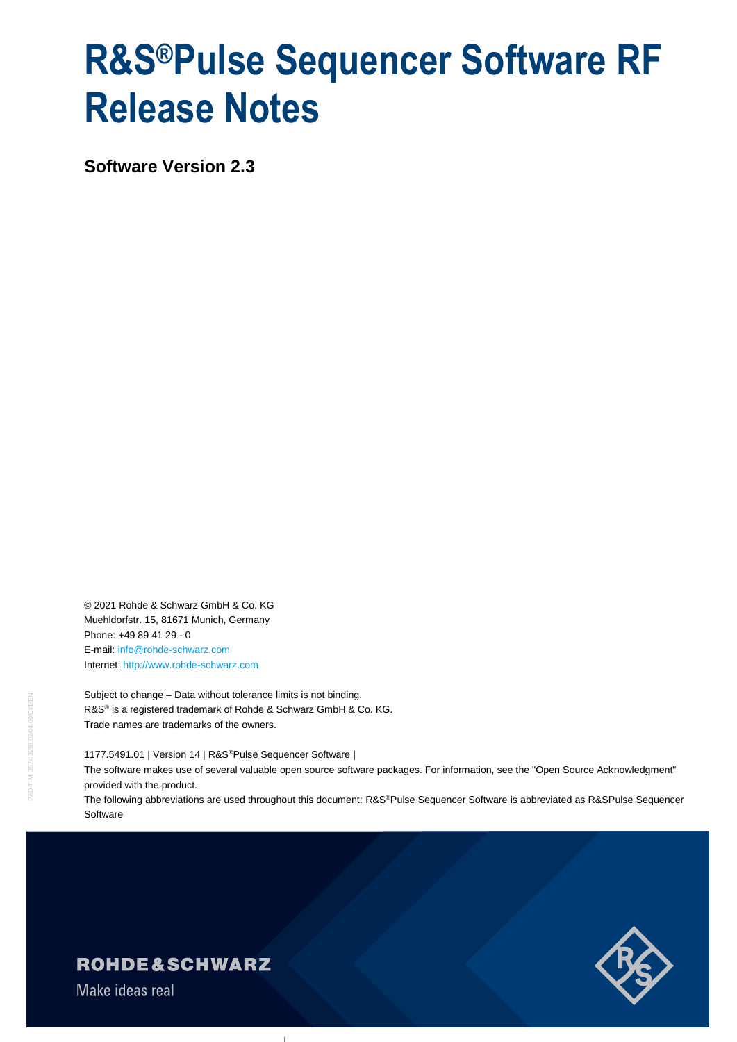# **R&S®Pulse Sequencer Software RF Release Notes**

**Software Version 2.3**

© 2021 Rohde & Schwarz GmbH & Co. KG Muehldorfstr. 15, 81671 Munich, Germany Phone: +49 89 41 29 - 0 E-mail: [info@rohde-schwarz.com](mailto:info@rohde-schwarz.com) Internet[: http://www.rohde-schwarz.com](http://www.rohde-schwarz.com/)

Subject to change – Data without tolerance limits is not binding. R&S<sup>®</sup> is a registered trademark of Rohde & Schwarz GmbH & Co. KG. Trade names are trademarks of the owners.

1177.5491.01 | Version 14 | R&S®Pulse Sequencer Software |

The software makes use of several valuable open source software packages. For information, see the "Open Source Acknowledgment" provided with the product.

The following abbreviations are used throughout this document: R&S®Pulse Sequencer Software is abbreviated as R&SPulse Sequencer **Software** 



**ROHDE&SCHWARZ** 

Make ideas real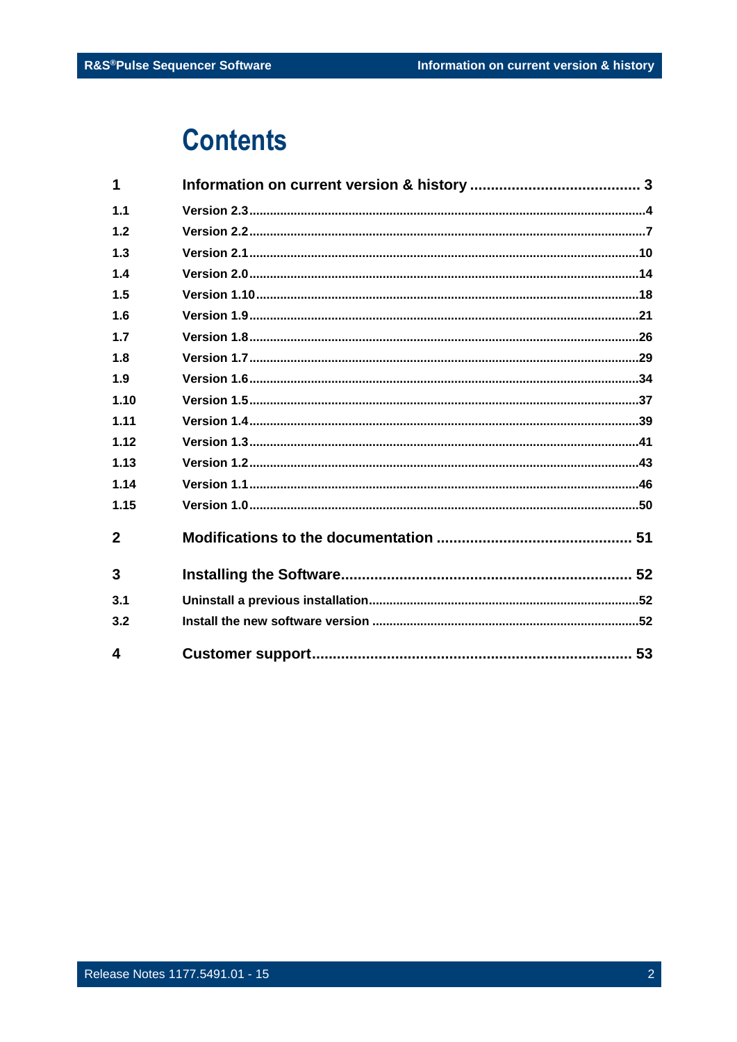# **Contents**

| 1            |  |
|--------------|--|
| 1.1          |  |
| 1.2          |  |
| 1,3          |  |
| 1.4          |  |
| 1.5          |  |
| 1.6          |  |
| 1.7          |  |
| 1.8          |  |
| 1.9          |  |
| 1.10         |  |
| 1.11         |  |
| 1.12         |  |
| 1.13         |  |
| 1.14         |  |
| 1.15         |  |
| $\mathbf{2}$ |  |
| 3            |  |
| 3.1          |  |
| 3.2          |  |
| 4            |  |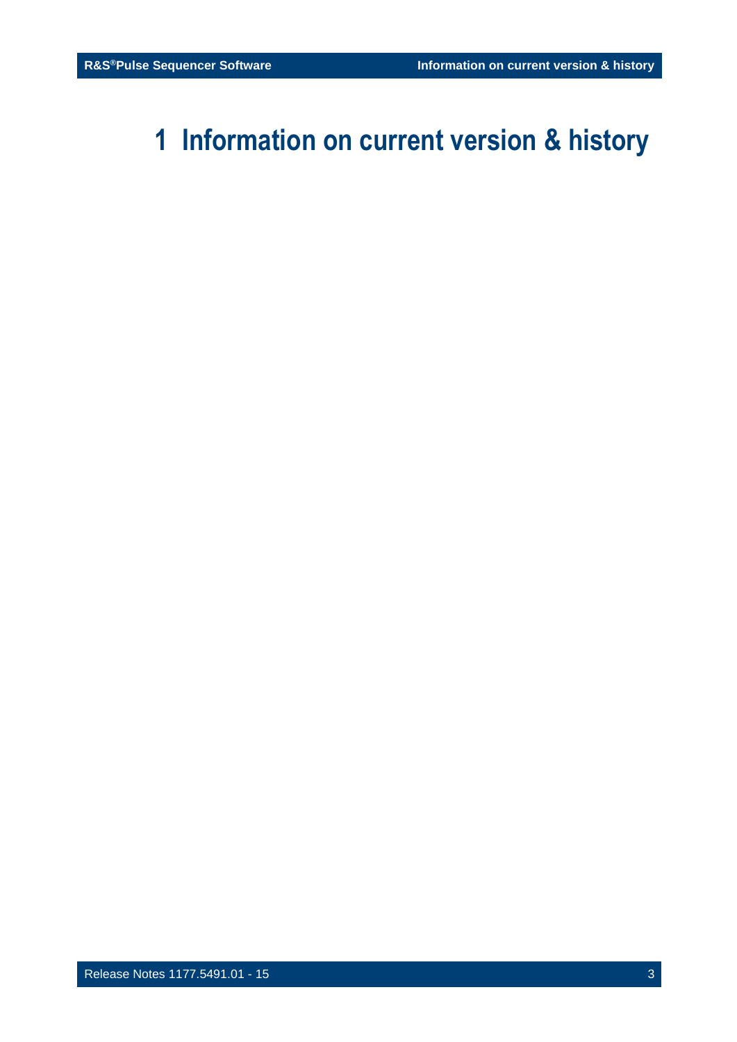# <span id="page-2-0"></span>**1 Information on current version & history**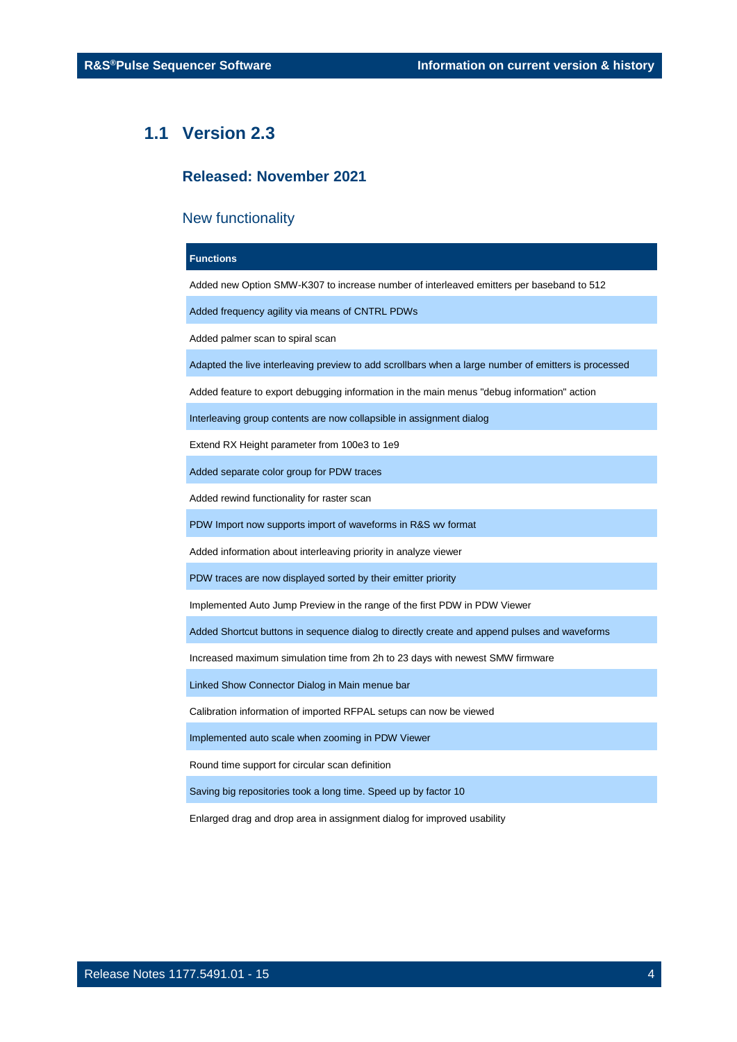### <span id="page-3-0"></span>**1.1 Version 2.3**

### **Released: November 2021**

### New functionality

### **Functions**

Added new Option SMW-K307 to increase number of interleaved emitters per baseband to 512

Added frequency agility via means of CNTRL PDWs

Added palmer scan to spiral scan

Adapted the live interleaving preview to add scrollbars when a large number of emitters is processed

Added feature to export debugging information in the main menus "debug information" action

Interleaving group contents are now collapsible in assignment dialog

Extend RX Height parameter from 100e3 to 1e9

Added separate color group for PDW traces

Added rewind functionality for raster scan

PDW Import now supports import of waveforms in R&S wv format

Added information about interleaving priority in analyze viewer

PDW traces are now displayed sorted by their emitter priority

Implemented Auto Jump Preview in the range of the first PDW in PDW Viewer

Added Shortcut buttons in sequence dialog to directly create and append pulses and waveforms

Increased maximum simulation time from 2h to 23 days with newest SMW firmware

Linked Show Connector Dialog in Main menue bar

Calibration information of imported RFPAL setups can now be viewed

Implemented auto scale when zooming in PDW Viewer

Round time support for circular scan definition

Saving big repositories took a long time. Speed up by factor 10

Enlarged drag and drop area in assignment dialog for improved usability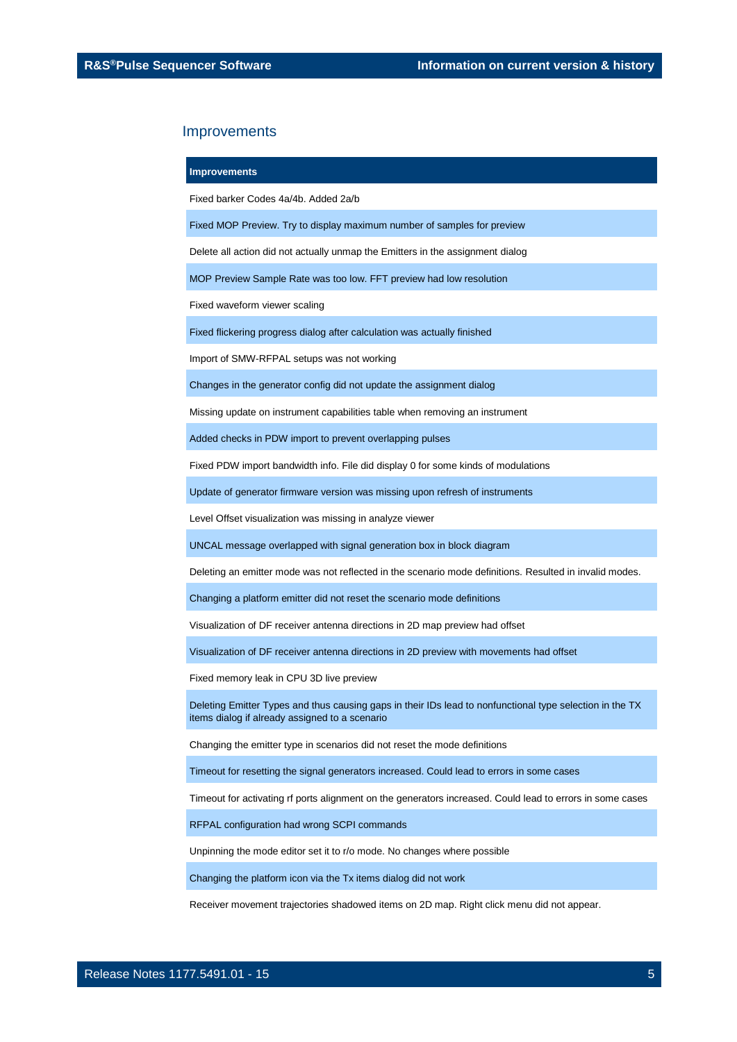#### **Improvements**

Fixed barker Codes 4a/4b. Added 2a/b

Fixed MOP Preview. Try to display maximum number of samples for preview

Delete all action did not actually unmap the Emitters in the assignment dialog

MOP Preview Sample Rate was too low. FFT preview had low resolution

Fixed waveform viewer scaling

Fixed flickering progress dialog after calculation was actually finished

Import of SMW-RFPAL setups was not working

Changes in the generator config did not update the assignment dialog

Missing update on instrument capabilities table when removing an instrument

Added checks in PDW import to prevent overlapping pulses

Fixed PDW import bandwidth info. File did display 0 for some kinds of modulations

Update of generator firmware version was missing upon refresh of instruments

Level Offset visualization was missing in analyze viewer

UNCAL message overlapped with signal generation box in block diagram

Deleting an emitter mode was not reflected in the scenario mode definitions. Resulted in invalid modes.

Changing a platform emitter did not reset the scenario mode definitions

Visualization of DF receiver antenna directions in 2D map preview had offset

Visualization of DF receiver antenna directions in 2D preview with movements had offset

Fixed memory leak in CPU 3D live preview

Deleting Emitter Types and thus causing gaps in their IDs lead to nonfunctional type selection in the TX items dialog if already assigned to a scenario

Changing the emitter type in scenarios did not reset the mode definitions

Timeout for resetting the signal generators increased. Could lead to errors in some cases

Timeout for activating rf ports alignment on the generators increased. Could lead to errors in some cases

RFPAL configuration had wrong SCPI commands

Unpinning the mode editor set it to r/o mode. No changes where possible

Changing the platform icon via the Tx items dialog did not work

Receiver movement trajectories shadowed items on 2D map. Right click menu did not appear.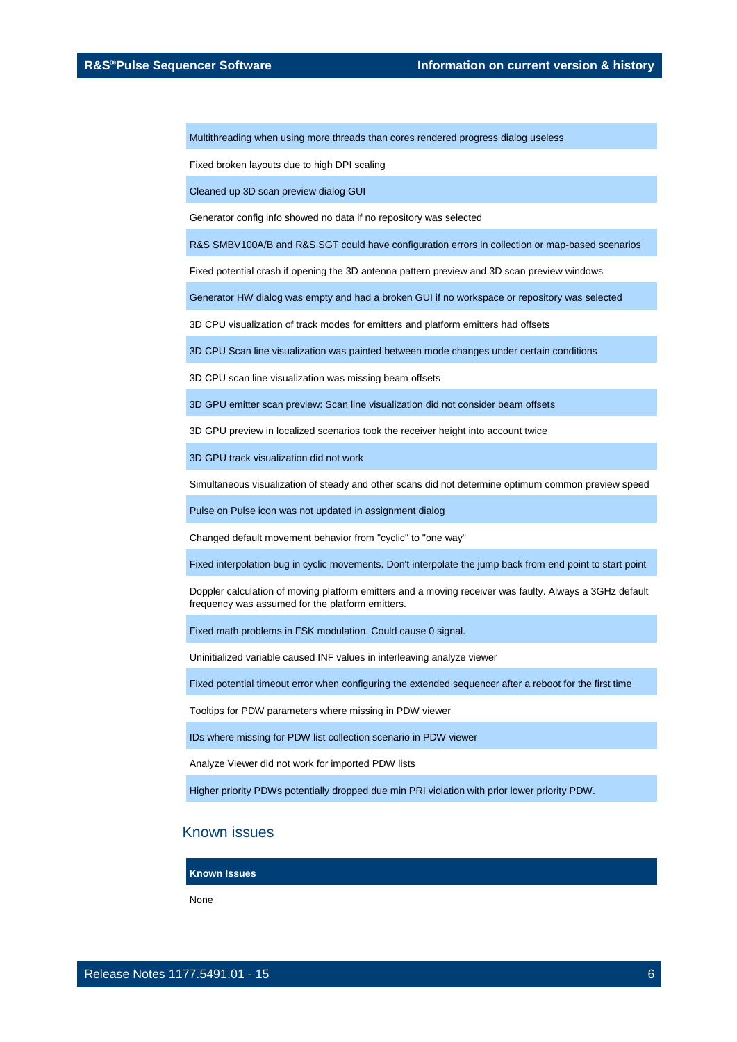Multithreading when using more threads than cores rendered progress dialog useless

Fixed broken layouts due to high DPI scaling

Cleaned up 3D scan preview dialog GUI

Generator config info showed no data if no repository was selected

R&S SMBV100A/B and R&S SGT could have configuration errors in collection or map-based scenarios

Fixed potential crash if opening the 3D antenna pattern preview and 3D scan preview windows

Generator HW dialog was empty and had a broken GUI if no workspace or repository was selected

3D CPU visualization of track modes for emitters and platform emitters had offsets

3D CPU Scan line visualization was painted between mode changes under certain conditions

3D CPU scan line visualization was missing beam offsets

3D GPU emitter scan preview: Scan line visualization did not consider beam offsets

3D GPU preview in localized scenarios took the receiver height into account twice

3D GPU track visualization did not work

Simultaneous visualization of steady and other scans did not determine optimum common preview speed

Pulse on Pulse icon was not updated in assignment dialog

Changed default movement behavior from "cyclic" to "one way"

Fixed interpolation bug in cyclic movements. Don't interpolate the jump back from end point to start point

Doppler calculation of moving platform emitters and a moving receiver was faulty. Always a 3GHz default frequency was assumed for the platform emitters.

Fixed math problems in FSK modulation. Could cause 0 signal.

Uninitialized variable caused INF values in interleaving analyze viewer

Fixed potential timeout error when configuring the extended sequencer after a reboot for the first time

Tooltips for PDW parameters where missing in PDW viewer

IDs where missing for PDW list collection scenario in PDW viewer

Analyze Viewer did not work for imported PDW lists

Higher priority PDWs potentially dropped due min PRI violation with prior lower priority PDW.

### Known issues

**Known Issues**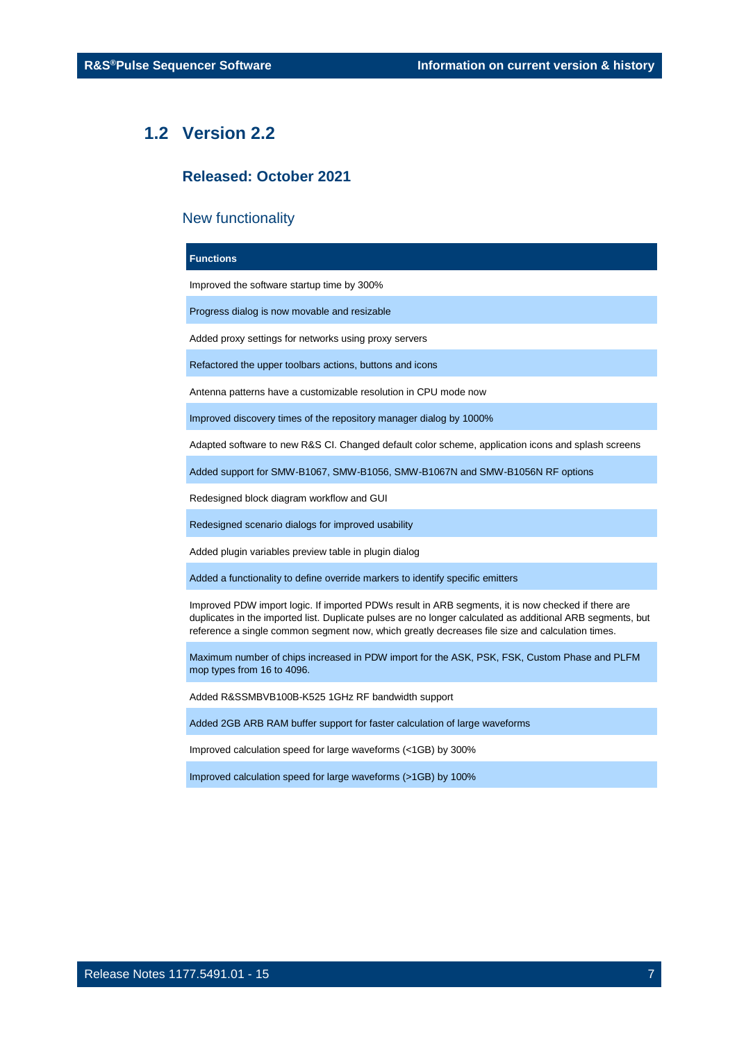### <span id="page-6-0"></span>**1.2 Version 2.2**

### **Released: October 2021**

### New functionality

### **Functions**

Improved the software startup time by 300%

Progress dialog is now movable and resizable

Added proxy settings for networks using proxy servers

Refactored the upper toolbars actions, buttons and icons

Antenna patterns have a customizable resolution in CPU mode now

Improved discovery times of the repository manager dialog by 1000%

Adapted software to new R&S CI. Changed default color scheme, application icons and splash screens

Added support for SMW-B1067, SMW-B1056, SMW-B1067N and SMW-B1056N RF options

Redesigned block diagram workflow and GUI

Redesigned scenario dialogs for improved usability

Added plugin variables preview table in plugin dialog

Added a functionality to define override markers to identify specific emitters

Improved PDW import logic. If imported PDWs result in ARB segments, it is now checked if there are duplicates in the imported list. Duplicate pulses are no longer calculated as additional ARB segments, but reference a single common segment now, which greatly decreases file size and calculation times.

Maximum number of chips increased in PDW import for the ASK, PSK, FSK, Custom Phase and PLFM mop types from 16 to 4096.

Added R&SSMBVB100B-K525 1GHz RF bandwidth support

Added 2GB ARB RAM buffer support for faster calculation of large waveforms

Improved calculation speed for large waveforms (<1GB) by 300%

Improved calculation speed for large waveforms (>1GB) by 100%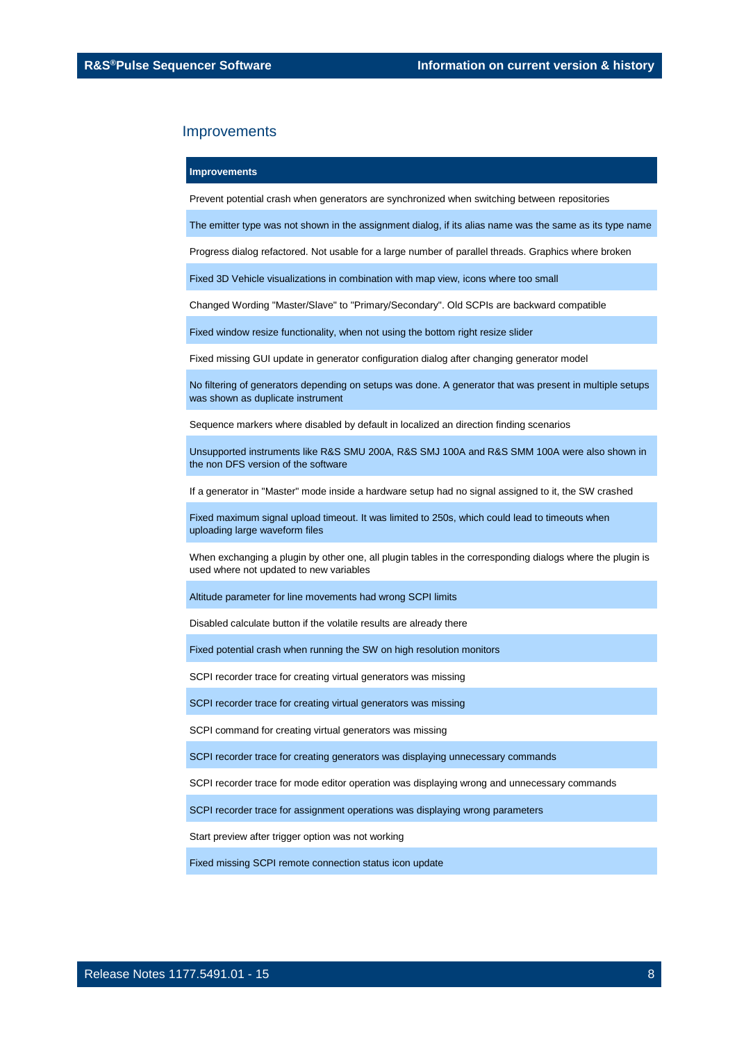#### **Improvements**

Prevent potential crash when generators are synchronized when switching between repositories

The emitter type was not shown in the assignment dialog, if its alias name was the same as its type name

Progress dialog refactored. Not usable for a large number of parallel threads. Graphics where broken

Fixed 3D Vehicle visualizations in combination with map view, icons where too small

Changed Wording "Master/Slave" to "Primary/Secondary". Old SCPIs are backward compatible

Fixed window resize functionality, when not using the bottom right resize slider

Fixed missing GUI update in generator configuration dialog after changing generator model

No filtering of generators depending on setups was done. A generator that was present in multiple setups was shown as duplicate instrument

Sequence markers where disabled by default in localized an direction finding scenarios

Unsupported instruments like R&S SMU 200A, R&S SMJ 100A and R&S SMM 100A were also shown in the non DFS version of the software

If a generator in "Master" mode inside a hardware setup had no signal assigned to it, the SW crashed

Fixed maximum signal upload timeout. It was limited to 250s, which could lead to timeouts when uploading large waveform files

When exchanging a plugin by other one, all plugin tables in the corresponding dialogs where the plugin is used where not updated to new variables

Altitude parameter for line movements had wrong SCPI limits

Disabled calculate button if the volatile results are already there

Fixed potential crash when running the SW on high resolution monitors

SCPI recorder trace for creating virtual generators was missing

SCPI recorder trace for creating virtual generators was missing

SCPI command for creating virtual generators was missing

SCPI recorder trace for creating generators was displaying unnecessary commands

SCPI recorder trace for mode editor operation was displaying wrong and unnecessary commands

SCPI recorder trace for assignment operations was displaying wrong parameters

Start preview after trigger option was not working

Fixed missing SCPI remote connection status icon update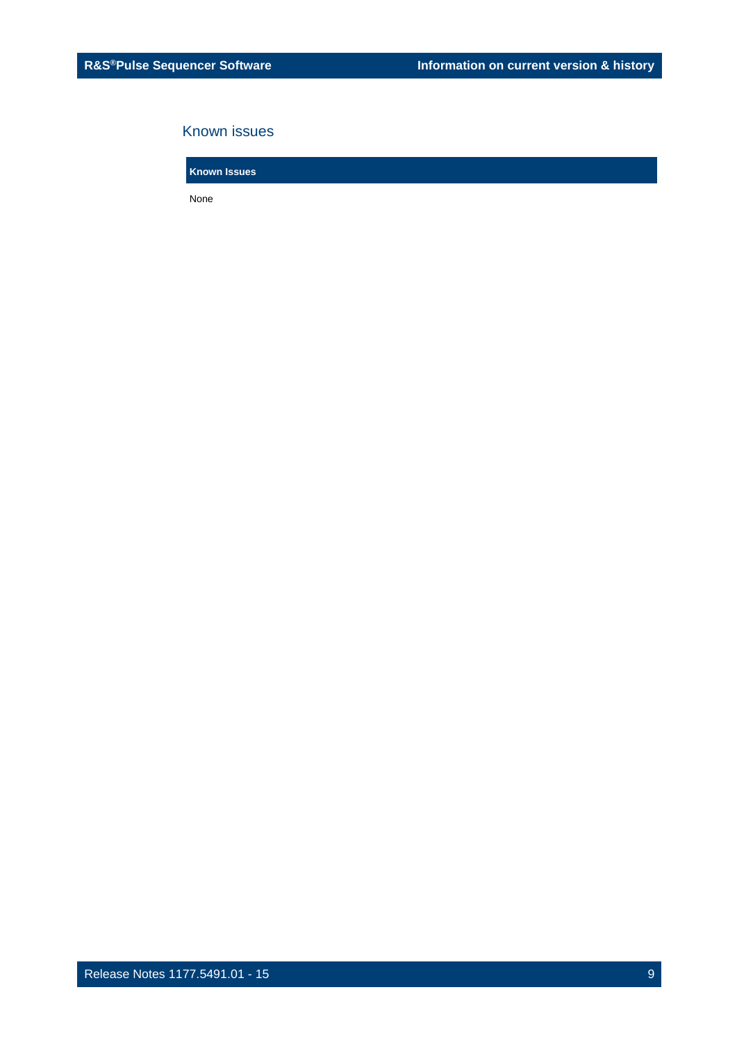### Known issues

**Known Issues**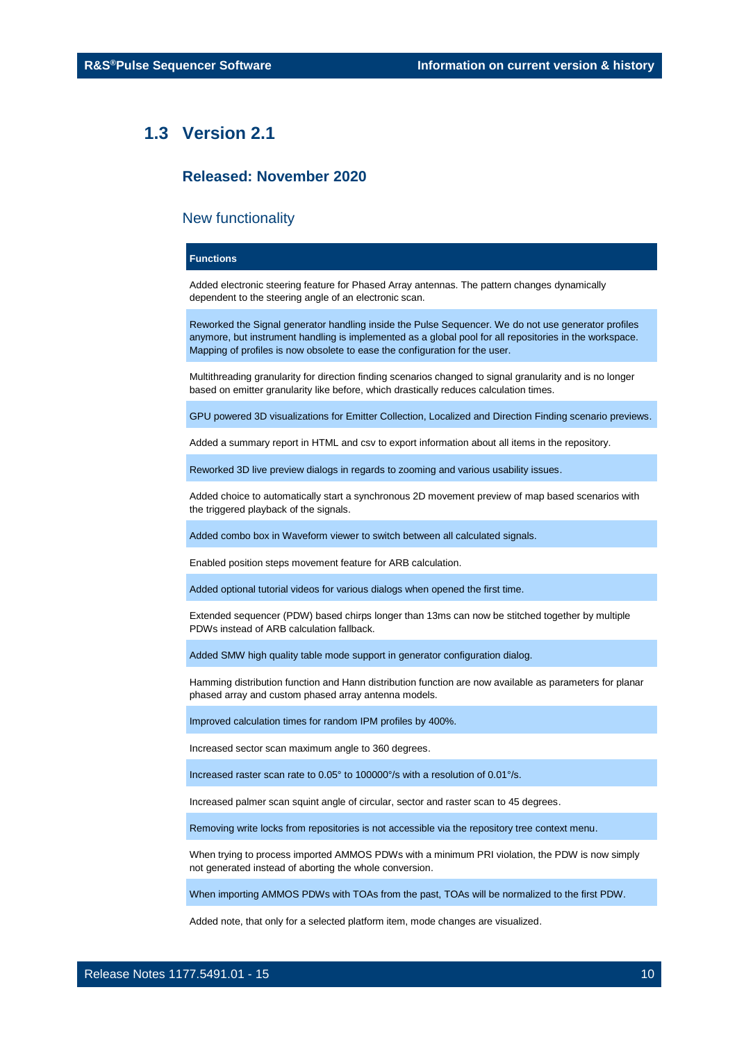### <span id="page-9-0"></span>**1.3 Version 2.1**

### **Released: November 2020**

### New functionality

### **Functions**

Added electronic steering feature for Phased Array antennas. The pattern changes dynamically dependent to the steering angle of an electronic scan.

Reworked the Signal generator handling inside the Pulse Sequencer. We do not use generator profiles anymore, but instrument handling is implemented as a global pool for all repositories in the workspace. Mapping of profiles is now obsolete to ease the configuration for the user.

Multithreading granularity for direction finding scenarios changed to signal granularity and is no longer based on emitter granularity like before, which drastically reduces calculation times.

GPU powered 3D visualizations for Emitter Collection, Localized and Direction Finding scenario previews.

Added a summary report in HTML and csv to export information about all items in the repository.

Reworked 3D live preview dialogs in regards to zooming and various usability issues.

Added choice to automatically start a synchronous 2D movement preview of map based scenarios with the triggered playback of the signals.

Added combo box in Waveform viewer to switch between all calculated signals.

Enabled position steps movement feature for ARB calculation.

Added optional tutorial videos for various dialogs when opened the first time.

Extended sequencer (PDW) based chirps longer than 13ms can now be stitched together by multiple PDWs instead of ARB calculation fallback.

Added SMW high quality table mode support in generator configuration dialog.

Hamming distribution function and Hann distribution function are now available as parameters for planar phased array and custom phased array antenna models.

Improved calculation times for random IPM profiles by 400%.

Increased sector scan maximum angle to 360 degrees.

Increased raster scan rate to 0.05° to 100000°/s with a resolution of 0.01°/s.

Increased palmer scan squint angle of circular, sector and raster scan to 45 degrees.

Removing write locks from repositories is not accessible via the repository tree context menu.

When trying to process imported AMMOS PDWs with a minimum PRI violation, the PDW is now simply not generated instead of aborting the whole conversion.

When importing AMMOS PDWs with TOAs from the past, TOAs will be normalized to the first PDW.

Added note, that only for a selected platform item, mode changes are visualized.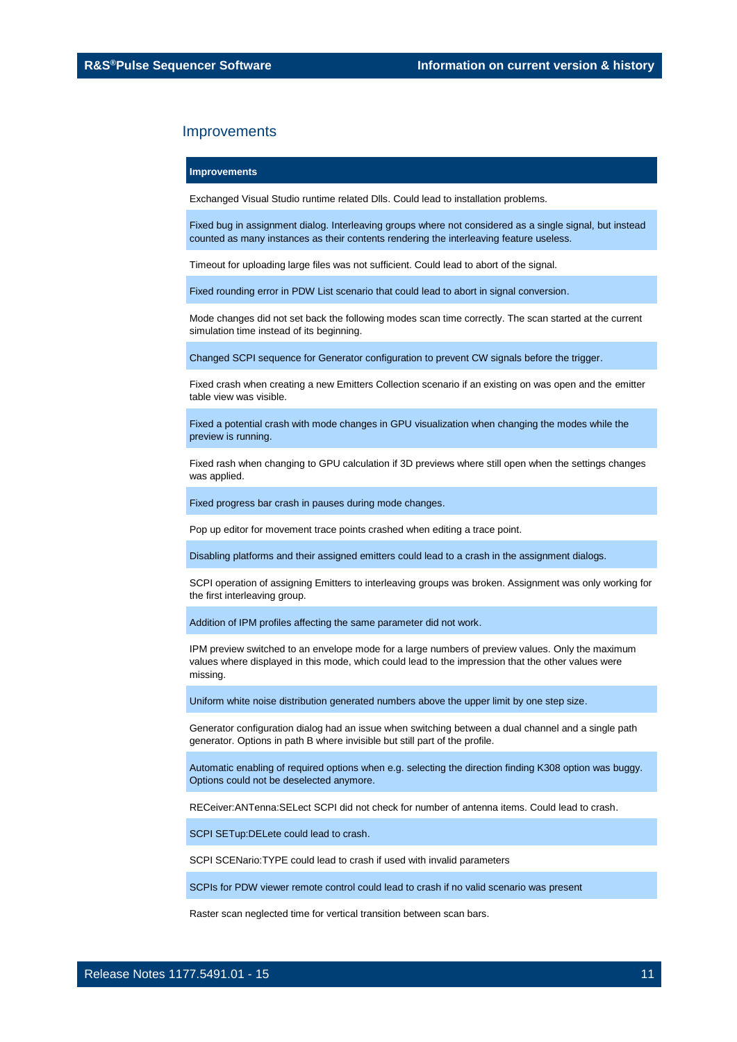#### **Improvements**

Exchanged Visual Studio runtime related Dlls. Could lead to installation problems.

Fixed bug in assignment dialog. Interleaving groups where not considered as a single signal, but instead counted as many instances as their contents rendering the interleaving feature useless.

Timeout for uploading large files was not sufficient. Could lead to abort of the signal.

Fixed rounding error in PDW List scenario that could lead to abort in signal conversion.

Mode changes did not set back the following modes scan time correctly. The scan started at the current simulation time instead of its beginning.

Changed SCPI sequence for Generator configuration to prevent CW signals before the trigger.

Fixed crash when creating a new Emitters Collection scenario if an existing on was open and the emitter table view was visible.

Fixed a potential crash with mode changes in GPU visualization when changing the modes while the preview is running.

Fixed rash when changing to GPU calculation if 3D previews where still open when the settings changes was applied.

Fixed progress bar crash in pauses during mode changes.

Pop up editor for movement trace points crashed when editing a trace point.

Disabling platforms and their assigned emitters could lead to a crash in the assignment dialogs.

SCPI operation of assigning Emitters to interleaving groups was broken. Assignment was only working for the first interleaving group.

Addition of IPM profiles affecting the same parameter did not work.

IPM preview switched to an envelope mode for a large numbers of preview values. Only the maximum values where displayed in this mode, which could lead to the impression that the other values were missing.

Uniform white noise distribution generated numbers above the upper limit by one step size.

Generator configuration dialog had an issue when switching between a dual channel and a single path generator. Options in path B where invisible but still part of the profile.

Automatic enabling of required options when e.g. selecting the direction finding K308 option was buggy. Options could not be deselected anymore.

RECeiver:ANTenna:SELect SCPI did not check for number of antenna items. Could lead to crash.

SCPI SETup:DELete could lead to crash.

SCPI SCENario:TYPE could lead to crash if used with invalid parameters

SCPIs for PDW viewer remote control could lead to crash if no valid scenario was present

Raster scan neglected time for vertical transition between scan bars.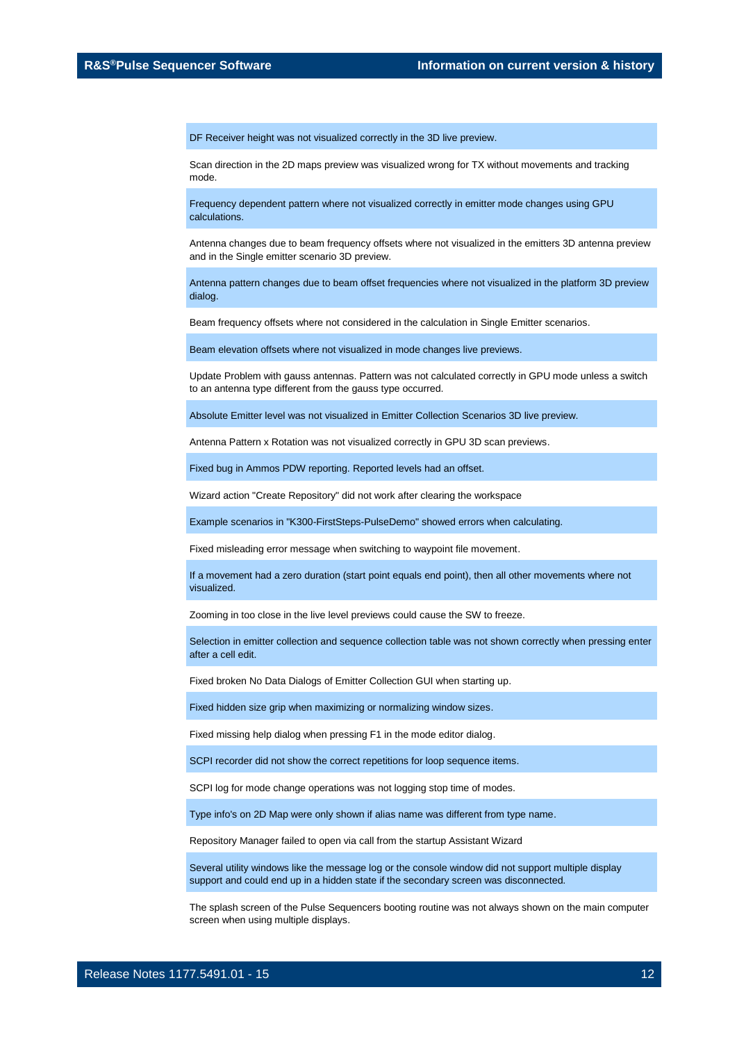DF Receiver height was not visualized correctly in the 3D live preview.

Scan direction in the 2D maps preview was visualized wrong for TX without movements and tracking mode.

Frequency dependent pattern where not visualized correctly in emitter mode changes using GPU calculations.

Antenna changes due to beam frequency offsets where not visualized in the emitters 3D antenna preview and in the Single emitter scenario 3D preview.

Antenna pattern changes due to beam offset frequencies where not visualized in the platform 3D preview dialog.

Beam frequency offsets where not considered in the calculation in Single Emitter scenarios.

Beam elevation offsets where not visualized in mode changes live previews.

Update Problem with gauss antennas. Pattern was not calculated correctly in GPU mode unless a switch to an antenna type different from the gauss type occurred.

Absolute Emitter level was not visualized in Emitter Collection Scenarios 3D live preview.

Antenna Pattern x Rotation was not visualized correctly in GPU 3D scan previews.

Fixed bug in Ammos PDW reporting. Reported levels had an offset.

Wizard action "Create Repository" did not work after clearing the workspace

Example scenarios in "K300-FirstSteps-PulseDemo" showed errors when calculating.

Fixed misleading error message when switching to waypoint file movement.

If a movement had a zero duration (start point equals end point), then all other movements where not visualized.

Zooming in too close in the live level previews could cause the SW to freeze.

Selection in emitter collection and sequence collection table was not shown correctly when pressing enter after a cell edit.

Fixed broken No Data Dialogs of Emitter Collection GUI when starting up.

Fixed hidden size grip when maximizing or normalizing window sizes.

Fixed missing help dialog when pressing F1 in the mode editor dialog.

SCPI recorder did not show the correct repetitions for loop sequence items.

SCPI log for mode change operations was not logging stop time of modes.

Type info's on 2D Map were only shown if alias name was different from type name.

Repository Manager failed to open via call from the startup Assistant Wizard

Several utility windows like the message log or the console window did not support multiple display support and could end up in a hidden state if the secondary screen was disconnected.

The splash screen of the Pulse Sequencers booting routine was not always shown on the main computer screen when using multiple displays.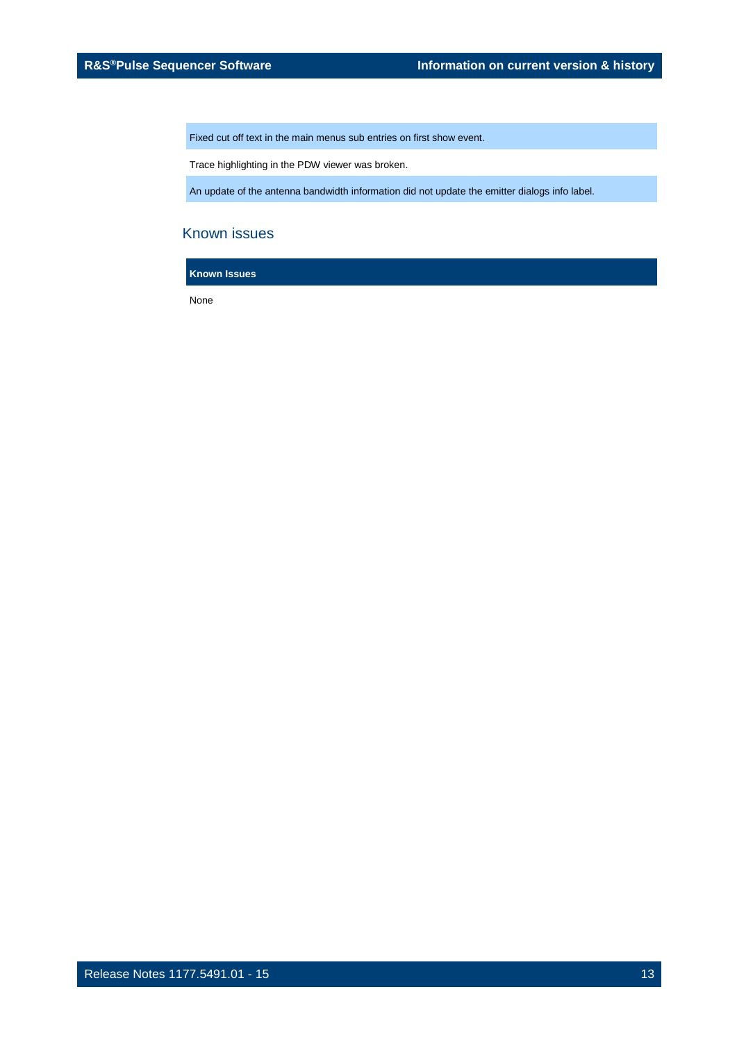Fixed cut off text in the main menus sub entries on first show event.

Trace highlighting in the PDW viewer was broken.

An update of the antenna bandwidth information did not update the emitter dialogs info label.

### Known issues

**Known Issues**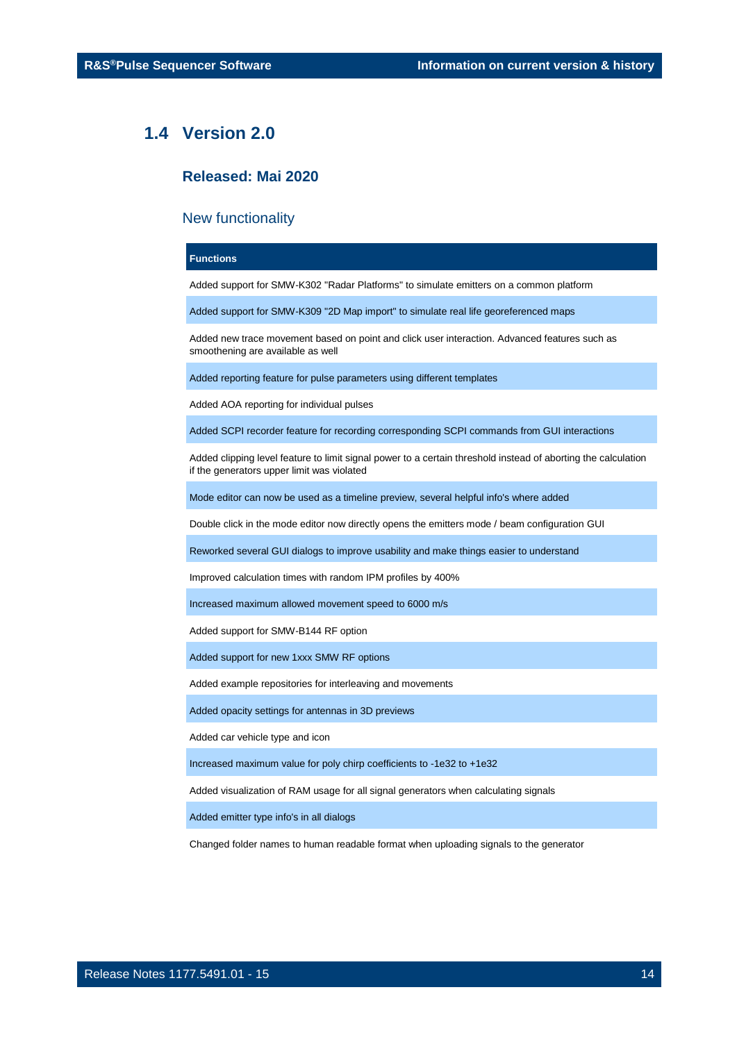### <span id="page-13-0"></span>**1.4 Version 2.0**

### **Released: Mai 2020**

### New functionality

### **Functions**

Added support for SMW-K302 "Radar Platforms" to simulate emitters on a common platform

Added support for SMW-K309 "2D Map import" to simulate real life georeferenced maps

Added new trace movement based on point and click user interaction. Advanced features such as smoothening are available as well

Added reporting feature for pulse parameters using different templates

Added AOA reporting for individual pulses

Added SCPI recorder feature for recording corresponding SCPI commands from GUI interactions

Added clipping level feature to limit signal power to a certain threshold instead of aborting the calculation if the generators upper limit was violated

Mode editor can now be used as a timeline preview, several helpful info's where added

Double click in the mode editor now directly opens the emitters mode / beam configuration GUI

Reworked several GUI dialogs to improve usability and make things easier to understand

Improved calculation times with random IPM profiles by 400%

Increased maximum allowed movement speed to 6000 m/s

Added support for SMW-B144 RF option

Added support for new 1xxx SMW RF options

Added example repositories for interleaving and movements

Added opacity settings for antennas in 3D previews

Added car vehicle type and icon

Increased maximum value for poly chirp coefficients to -1e32 to +1e32

Added visualization of RAM usage for all signal generators when calculating signals

Added emitter type info's in all dialogs

Changed folder names to human readable format when uploading signals to the generator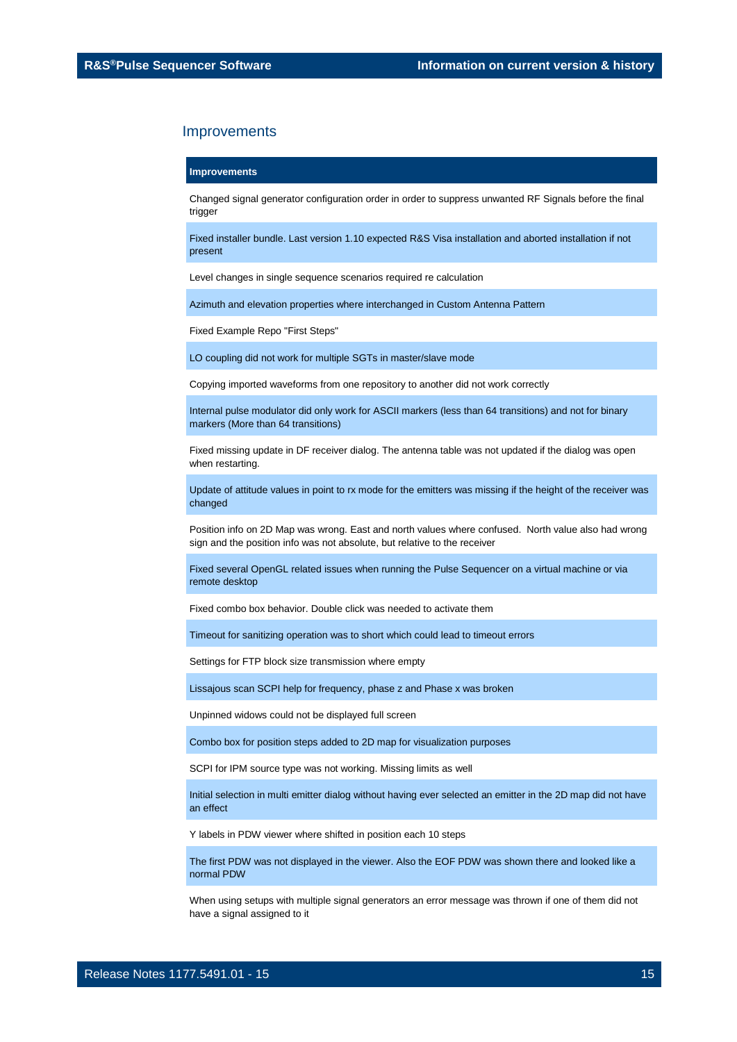#### **Improvements**

Changed signal generator configuration order in order to suppress unwanted RF Signals before the final trigger

Fixed installer bundle. Last version 1.10 expected R&S Visa installation and aborted installation if not present

Level changes in single sequence scenarios required re calculation

Azimuth and elevation properties where interchanged in Custom Antenna Pattern

Fixed Example Repo "First Steps"

LO coupling did not work for multiple SGTs in master/slave mode

Copying imported waveforms from one repository to another did not work correctly

Internal pulse modulator did only work for ASCII markers (less than 64 transitions) and not for binary markers (More than 64 transitions)

Fixed missing update in DF receiver dialog. The antenna table was not updated if the dialog was open when restarting.

Update of attitude values in point to rx mode for the emitters was missing if the height of the receiver was changed

Position info on 2D Map was wrong. East and north values where confused. North value also had wrong sign and the position info was not absolute, but relative to the receiver

Fixed several OpenGL related issues when running the Pulse Sequencer on a virtual machine or via remote desktop

Fixed combo box behavior. Double click was needed to activate them

Timeout for sanitizing operation was to short which could lead to timeout errors

Settings for FTP block size transmission where empty

Lissajous scan SCPI help for frequency, phase z and Phase x was broken

Unpinned widows could not be displayed full screen

Combo box for position steps added to 2D map for visualization purposes

SCPI for IPM source type was not working. Missing limits as well

Initial selection in multi emitter dialog without having ever selected an emitter in the 2D map did not have an effect

Y labels in PDW viewer where shifted in position each 10 steps

The first PDW was not displayed in the viewer. Also the EOF PDW was shown there and looked like a normal PDW

When using setups with multiple signal generators an error message was thrown if one of them did not have a signal assigned to it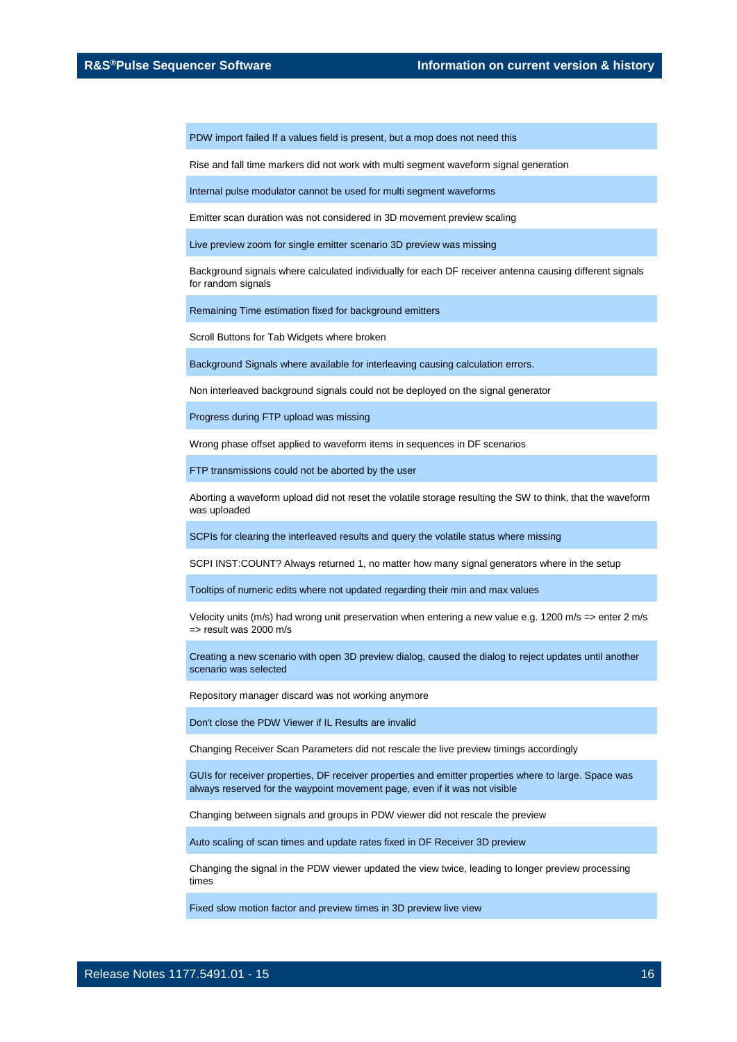PDW import failed If a values field is present, but a mop does not need this

Rise and fall time markers did not work with multi segment waveform signal generation

Internal pulse modulator cannot be used for multi segment waveforms

Emitter scan duration was not considered in 3D movement preview scaling

Live preview zoom for single emitter scenario 3D preview was missing

Background signals where calculated individually for each DF receiver antenna causing different signals for random signals

Remaining Time estimation fixed for background emitters

Scroll Buttons for Tab Widgets where broken

Background Signals where available for interleaving causing calculation errors.

Non interleaved background signals could not be deployed on the signal generator

Progress during FTP upload was missing

Wrong phase offset applied to waveform items in sequences in DF scenarios

FTP transmissions could not be aborted by the user

Aborting a waveform upload did not reset the volatile storage resulting the SW to think, that the waveform was uploaded

SCPIs for clearing the interleaved results and query the volatile status where missing

SCPI INST:COUNT? Always returned 1, no matter how many signal generators where in the setup

Tooltips of numeric edits where not updated regarding their min and max values

Velocity units (m/s) had wrong unit preservation when entering a new value e.g. 1200 m/s => enter 2 m/s => result was 2000 m/s

Creating a new scenario with open 3D preview dialog, caused the dialog to reject updates until another scenario was selected

Repository manager discard was not working anymore

Don't close the PDW Viewer if IL Results are invalid

Changing Receiver Scan Parameters did not rescale the live preview timings accordingly

GUIs for receiver properties, DF receiver properties and emitter properties where to large. Space was always reserved for the waypoint movement page, even if it was not visible

Changing between signals and groups in PDW viewer did not rescale the preview

Auto scaling of scan times and update rates fixed in DF Receiver 3D preview

Changing the signal in the PDW viewer updated the view twice, leading to longer preview processing times

Fixed slow motion factor and preview times in 3D preview live view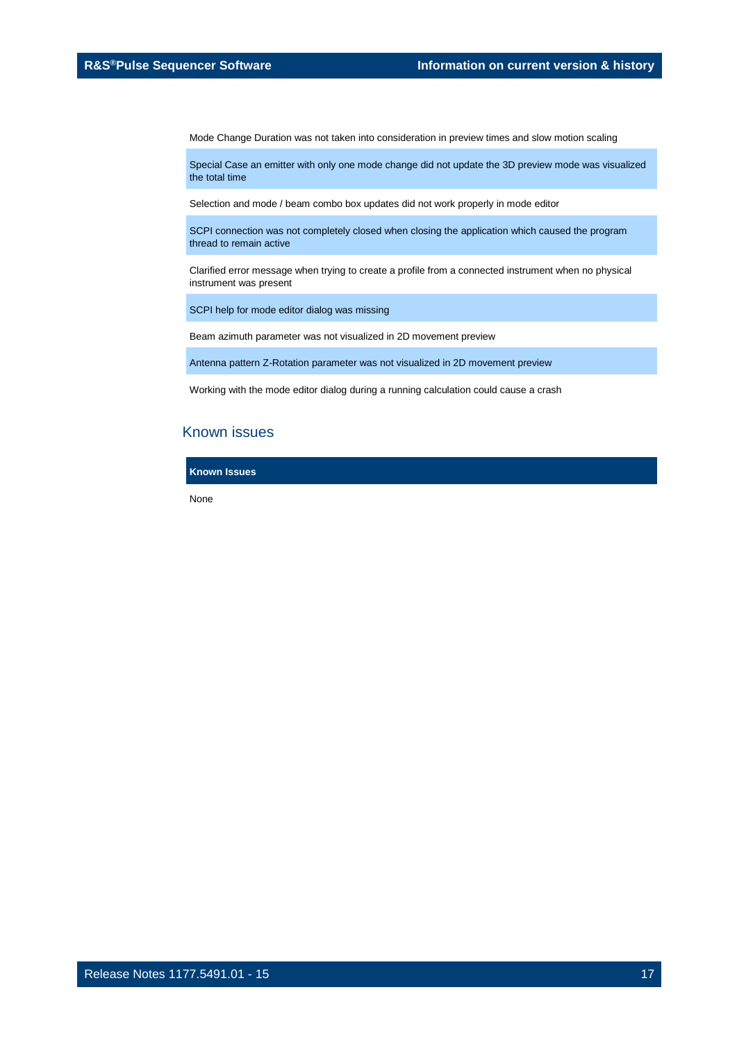Mode Change Duration was not taken into consideration in preview times and slow motion scaling

Special Case an emitter with only one mode change did not update the 3D preview mode was visualized the total time

Selection and mode / beam combo box updates did not work properly in mode editor

SCPI connection was not completely closed when closing the application which caused the program thread to remain active

Clarified error message when trying to create a profile from a connected instrument when no physical instrument was present

SCPI help for mode editor dialog was missing

Beam azimuth parameter was not visualized in 2D movement preview

Antenna pattern Z-Rotation parameter was not visualized in 2D movement preview

Working with the mode editor dialog during a running calculation could cause a crash

### Known issues

**Known Issues**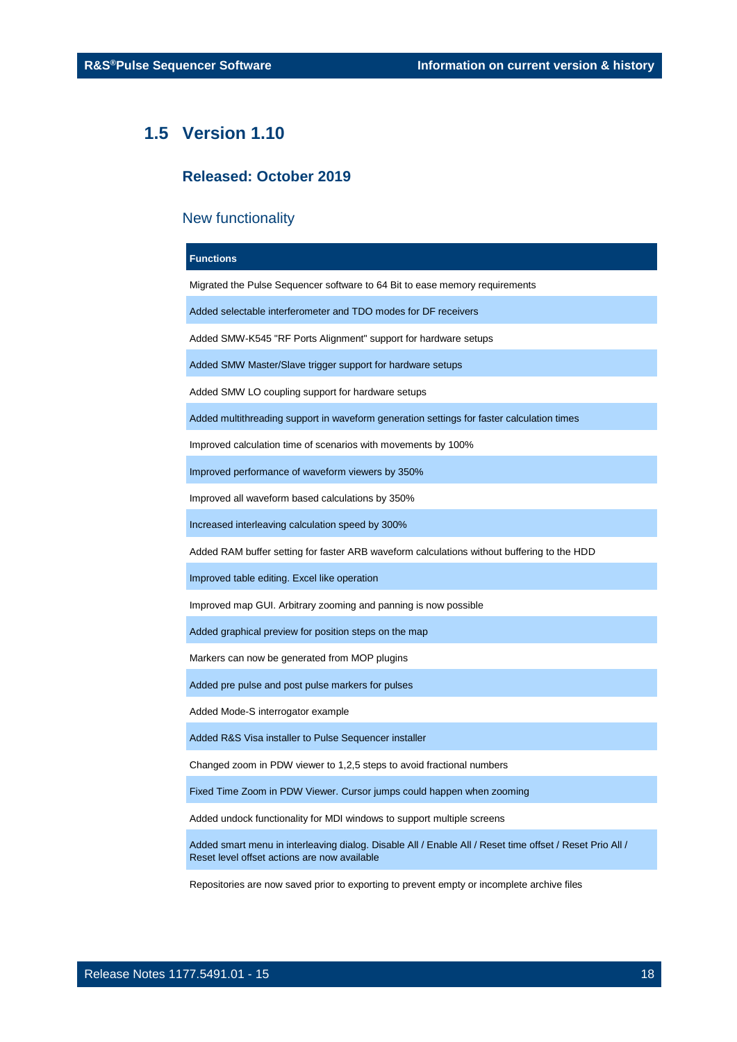### <span id="page-17-0"></span>**1.5 Version 1.10**

### **Released: October 2019**

### New functionality

### **Functions**

Migrated the Pulse Sequencer software to 64 Bit to ease memory requirements

Added selectable interferometer and TDO modes for DF receivers

Added SMW-K545 "RF Ports Alignment" support for hardware setups

Added SMW Master/Slave trigger support for hardware setups

Added SMW LO coupling support for hardware setups

Added multithreading support in waveform generation settings for faster calculation times

Improved calculation time of scenarios with movements by 100%

Improved performance of waveform viewers by 350%

Improved all waveform based calculations by 350%

Increased interleaving calculation speed by 300%

Added RAM buffer setting for faster ARB waveform calculations without buffering to the HDD

Improved table editing. Excel like operation

Improved map GUI. Arbitrary zooming and panning is now possible

Added graphical preview for position steps on the map

Markers can now be generated from MOP plugins

Added pre pulse and post pulse markers for pulses

Added Mode-S interrogator example

Added R&S Visa installer to Pulse Sequencer installer

Changed zoom in PDW viewer to 1,2,5 steps to avoid fractional numbers

Fixed Time Zoom in PDW Viewer. Cursor jumps could happen when zooming

Added undock functionality for MDI windows to support multiple screens

Added smart menu in interleaving dialog. Disable All / Enable All / Reset time offset / Reset Prio All / Reset level offset actions are now available

Repositories are now saved prior to exporting to prevent empty or incomplete archive files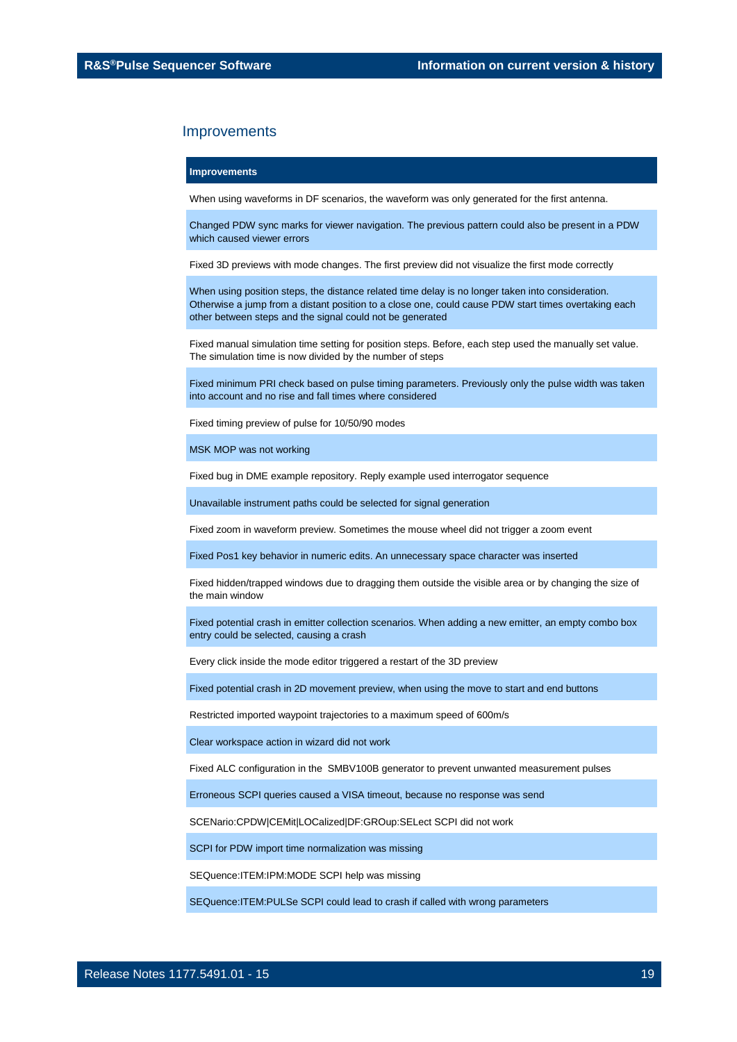#### **Improvements**

When using waveforms in DF scenarios, the waveform was only generated for the first antenna.

Changed PDW sync marks for viewer navigation. The previous pattern could also be present in a PDW which caused viewer errors

Fixed 3D previews with mode changes. The first preview did not visualize the first mode correctly

When using position steps, the distance related time delay is no longer taken into consideration. Otherwise a jump from a distant position to a close one, could cause PDW start times overtaking each other between steps and the signal could not be generated

Fixed manual simulation time setting for position steps. Before, each step used the manually set value. The simulation time is now divided by the number of steps

Fixed minimum PRI check based on pulse timing parameters. Previously only the pulse width was taken into account and no rise and fall times where considered

Fixed timing preview of pulse for 10/50/90 modes

MSK MOP was not working

Fixed bug in DME example repository. Reply example used interrogator sequence

Unavailable instrument paths could be selected for signal generation

Fixed zoom in waveform preview. Sometimes the mouse wheel did not trigger a zoom event

Fixed Pos1 key behavior in numeric edits. An unnecessary space character was inserted

Fixed hidden/trapped windows due to dragging them outside the visible area or by changing the size of the main window

Fixed potential crash in emitter collection scenarios. When adding a new emitter, an empty combo box entry could be selected, causing a crash

Every click inside the mode editor triggered a restart of the 3D preview

Fixed potential crash in 2D movement preview, when using the move to start and end buttons

Restricted imported waypoint trajectories to a maximum speed of 600m/s

Clear workspace action in wizard did not work

Fixed ALC configuration in the SMBV100B generator to prevent unwanted measurement pulses

Erroneous SCPI queries caused a VISA timeout, because no response was send

SCENario:CPDW|CEMit|LOCalized|DF:GROup:SELect SCPI did not work

SCPI for PDW import time normalization was missing

SEQuence:ITEM:IPM:MODE SCPI help was missing

SEQuence:ITEM:PULSe SCPI could lead to crash if called with wrong parameters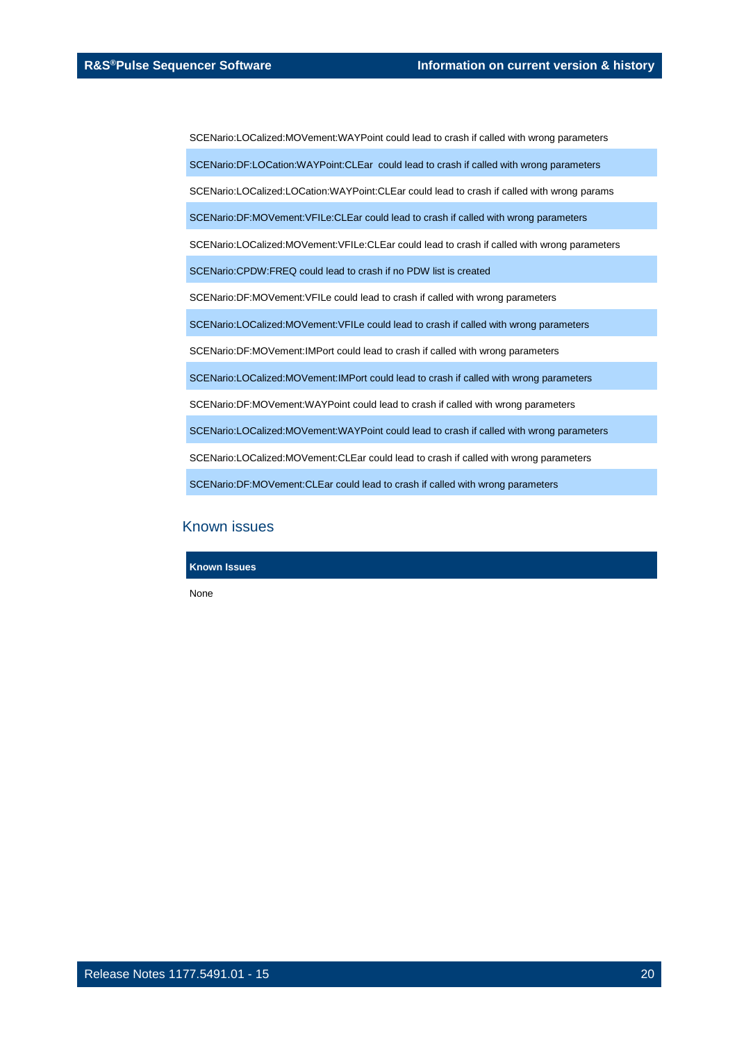SCENario:LOCalized:MOVement:WAYPoint could lead to crash if called with wrong parameters

SCENario:DF:LOCation:WAYPoint:CLEar could lead to crash if called with wrong parameters

SCENario:LOCalized:LOCation:WAYPoint:CLEar could lead to crash if called with wrong params

SCENario:DF:MOVement:VFILe:CLEar could lead to crash if called with wrong parameters

SCENario:LOCalized:MOVement:VFILe:CLEar could lead to crash if called with wrong parameters

SCENario:CPDW:FREQ could lead to crash if no PDW list is created

SCENario:DF:MOVement:VFILe could lead to crash if called with wrong parameters

SCENario:LOCalized:MOVement:VFILe could lead to crash if called with wrong parameters

SCENario:DF:MOVement:IMPort could lead to crash if called with wrong parameters

SCENario:LOCalized:MOVement:IMPort could lead to crash if called with wrong parameters

SCENario:DF:MOVement:WAYPoint could lead to crash if called with wrong parameters

SCENario:LOCalized:MOVement:WAYPoint could lead to crash if called with wrong parameters

SCENario:LOCalized:MOVement:CLEar could lead to crash if called with wrong parameters

SCENario:DF:MOVement:CLEar could lead to crash if called with wrong parameters

### Known issues

**Known Issues**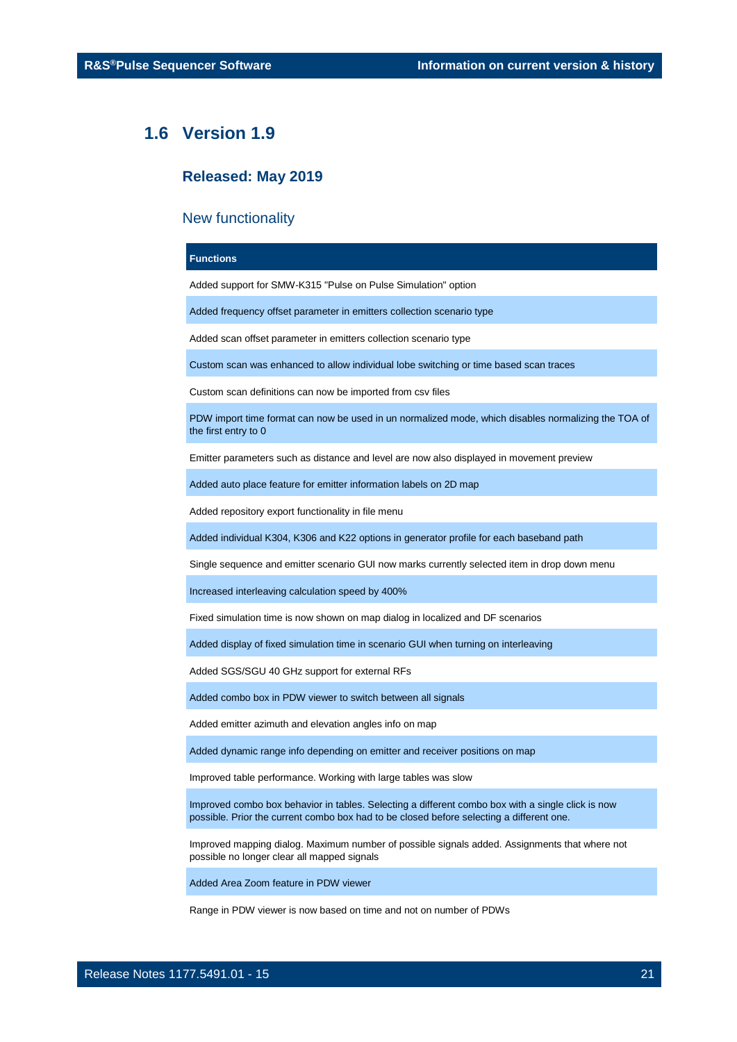### <span id="page-20-0"></span>**1.6 Version 1.9**

### **Released: May 2019**

### New functionality

### **Functions**

Added support for SMW-K315 "Pulse on Pulse Simulation" option

Added frequency offset parameter in emitters collection scenario type

Added scan offset parameter in emitters collection scenario type

Custom scan was enhanced to allow individual lobe switching or time based scan traces

Custom scan definitions can now be imported from csv files

PDW import time format can now be used in un normalized mode, which disables normalizing the TOA of the first entry to 0

Emitter parameters such as distance and level are now also displayed in movement preview

Added auto place feature for emitter information labels on 2D map

Added repository export functionality in file menu

Added individual K304, K306 and K22 options in generator profile for each baseband path

Single sequence and emitter scenario GUI now marks currently selected item in drop down menu

Increased interleaving calculation speed by 400%

Fixed simulation time is now shown on map dialog in localized and DF scenarios

Added display of fixed simulation time in scenario GUI when turning on interleaving

Added SGS/SGU 40 GHz support for external RFs

Added combo box in PDW viewer to switch between all signals

Added emitter azimuth and elevation angles info on map

Added dynamic range info depending on emitter and receiver positions on map

Improved table performance. Working with large tables was slow

Improved combo box behavior in tables. Selecting a different combo box with a single click is now possible. Prior the current combo box had to be closed before selecting a different one.

Improved mapping dialog. Maximum number of possible signals added. Assignments that where not possible no longer clear all mapped signals

Added Area Zoom feature in PDW viewer

Range in PDW viewer is now based on time and not on number of PDWs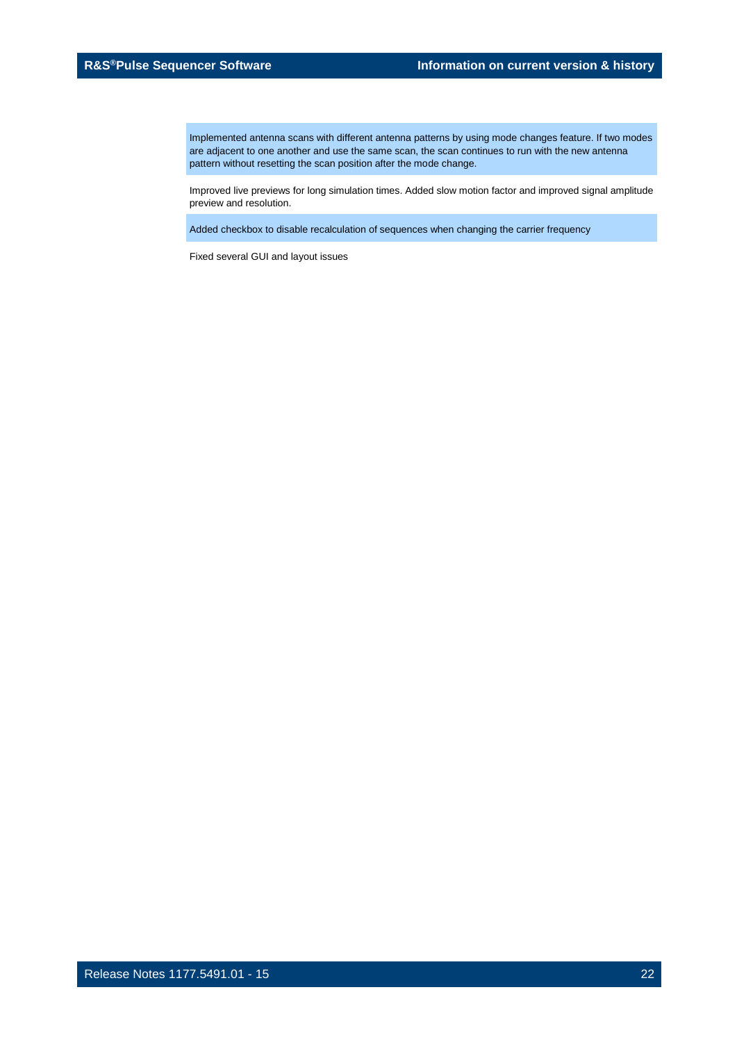Implemented antenna scans with different antenna patterns by using mode changes feature. If two modes are adjacent to one another and use the same scan, the scan continues to run with the new antenna pattern without resetting the scan position after the mode change.

Improved live previews for long simulation times. Added slow motion factor and improved signal amplitude preview and resolution.

Added checkbox to disable recalculation of sequences when changing the carrier frequency

Fixed several GUI and layout issues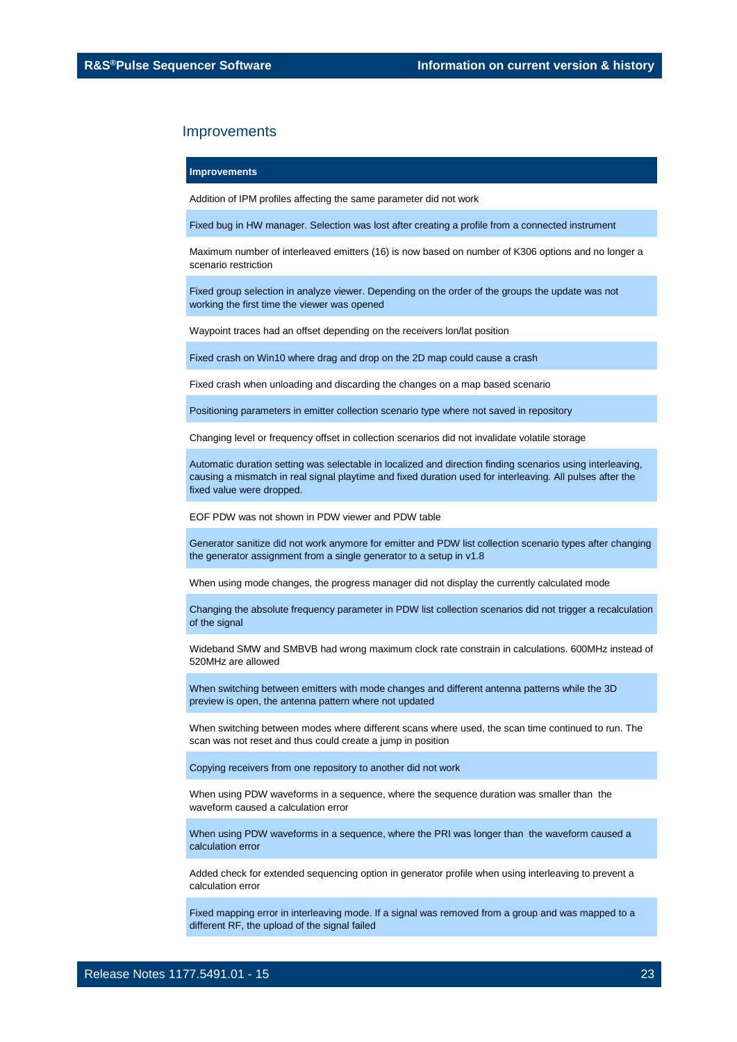#### **Improvements**

Addition of IPM profiles affecting the same parameter did not work

Fixed bug in HW manager. Selection was lost after creating a profile from a connected instrument

Maximum number of interleaved emitters (16) is now based on number of K306 options and no longer a scenario restriction

Fixed group selection in analyze viewer. Depending on the order of the groups the update was not working the first time the viewer was opened

Waypoint traces had an offset depending on the receivers lon/lat position

Fixed crash on Win10 where drag and drop on the 2D map could cause a crash

Fixed crash when unloading and discarding the changes on a map based scenario

Positioning parameters in emitter collection scenario type where not saved in repository

Changing level or frequency offset in collection scenarios did not invalidate volatile storage

Automatic duration setting was selectable in localized and direction finding scenarios using interleaving, causing a mismatch in real signal playtime and fixed duration used for interleaving. All pulses after the fixed value were dropped.

EOF PDW was not shown in PDW viewer and PDW table

Generator sanitize did not work anymore for emitter and PDW list collection scenario types after changing the generator assignment from a single generator to a setup in v1.8

When using mode changes, the progress manager did not display the currently calculated mode

Changing the absolute frequency parameter in PDW list collection scenarios did not trigger a recalculation of the signal

Wideband SMW and SMBVB had wrong maximum clock rate constrain in calculations. 600MHz instead of 520MHz are allowed

When switching between emitters with mode changes and different antenna patterns while the 3D preview is open, the antenna pattern where not updated

When switching between modes where different scans where used, the scan time continued to run. The scan was not reset and thus could create a jump in position

Copying receivers from one repository to another did not work

When using PDW waveforms in a sequence, where the sequence duration was smaller than the waveform caused a calculation error

When using PDW waveforms in a sequence, where the PRI was longer than the waveform caused a calculation error

Added check for extended sequencing option in generator profile when using interleaving to prevent a calculation error

Fixed mapping error in interleaving mode. If a signal was removed from a group and was mapped to a different RF, the upload of the signal failed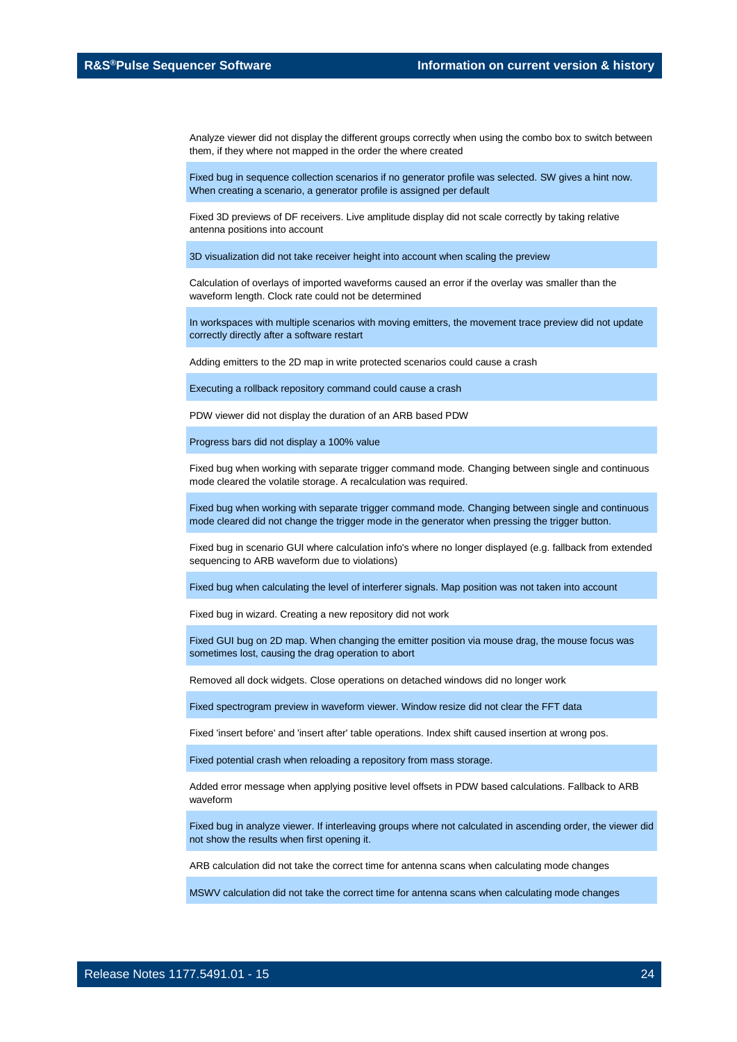Analyze viewer did not display the different groups correctly when using the combo box to switch between them, if they where not mapped in the order the where created

Fixed bug in sequence collection scenarios if no generator profile was selected. SW gives a hint now. When creating a scenario, a generator profile is assigned per default

Fixed 3D previews of DF receivers. Live amplitude display did not scale correctly by taking relative antenna positions into account

3D visualization did not take receiver height into account when scaling the preview

Calculation of overlays of imported waveforms caused an error if the overlay was smaller than the waveform length. Clock rate could not be determined

In workspaces with multiple scenarios with moving emitters, the movement trace preview did not update correctly directly after a software restart

Adding emitters to the 2D map in write protected scenarios could cause a crash

Executing a rollback repository command could cause a crash

PDW viewer did not display the duration of an ARB based PDW

Progress bars did not display a 100% value

Fixed bug when working with separate trigger command mode. Changing between single and continuous mode cleared the volatile storage. A recalculation was required.

Fixed bug when working with separate trigger command mode. Changing between single and continuous mode cleared did not change the trigger mode in the generator when pressing the trigger button.

Fixed bug in scenario GUI where calculation info's where no longer displayed (e.g. fallback from extended sequencing to ARB waveform due to violations)

Fixed bug when calculating the level of interferer signals. Map position was not taken into account

Fixed bug in wizard. Creating a new repository did not work

Fixed GUI bug on 2D map. When changing the emitter position via mouse drag, the mouse focus was sometimes lost, causing the drag operation to abort

Removed all dock widgets. Close operations on detached windows did no longer work

Fixed spectrogram preview in waveform viewer. Window resize did not clear the FFT data

Fixed 'insert before' and 'insert after' table operations. Index shift caused insertion at wrong pos.

Fixed potential crash when reloading a repository from mass storage.

Added error message when applying positive level offsets in PDW based calculations. Fallback to ARB waveform

Fixed bug in analyze viewer. If interleaving groups where not calculated in ascending order, the viewer did not show the results when first opening it.

ARB calculation did not take the correct time for antenna scans when calculating mode changes

MSWV calculation did not take the correct time for antenna scans when calculating mode changes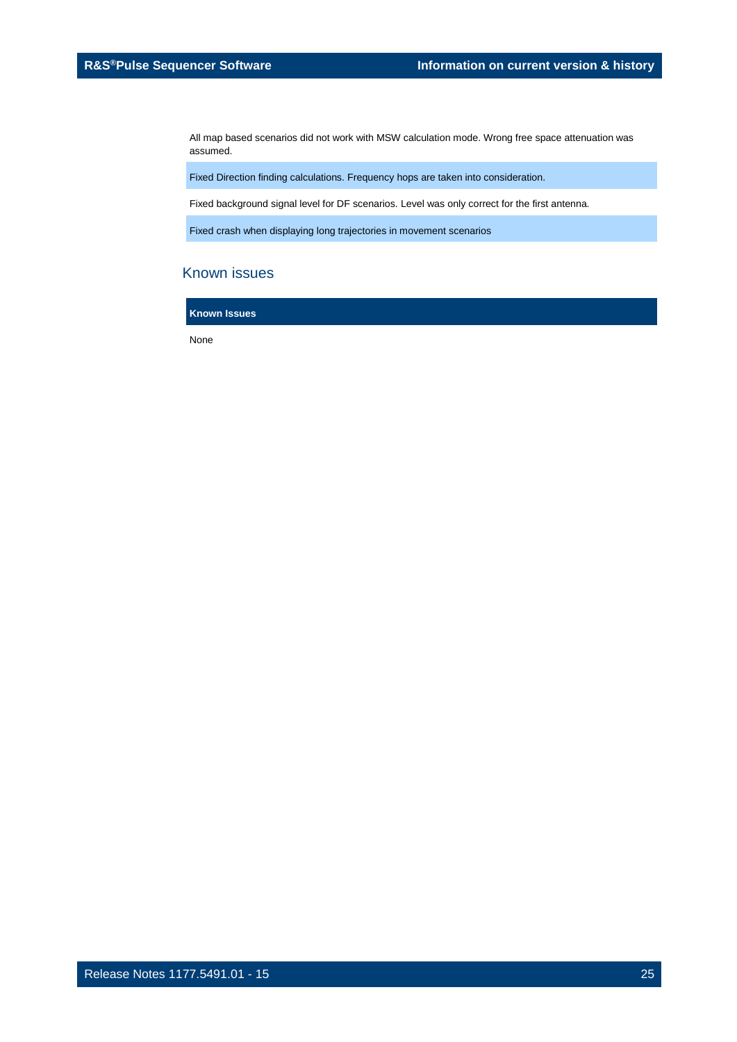All map based scenarios did not work with MSW calculation mode. Wrong free space attenuation was assumed.

Fixed Direction finding calculations. Frequency hops are taken into consideration.

Fixed background signal level for DF scenarios. Level was only correct for the first antenna.

Fixed crash when displaying long trajectories in movement scenarios

### Known issues

**Known Issues**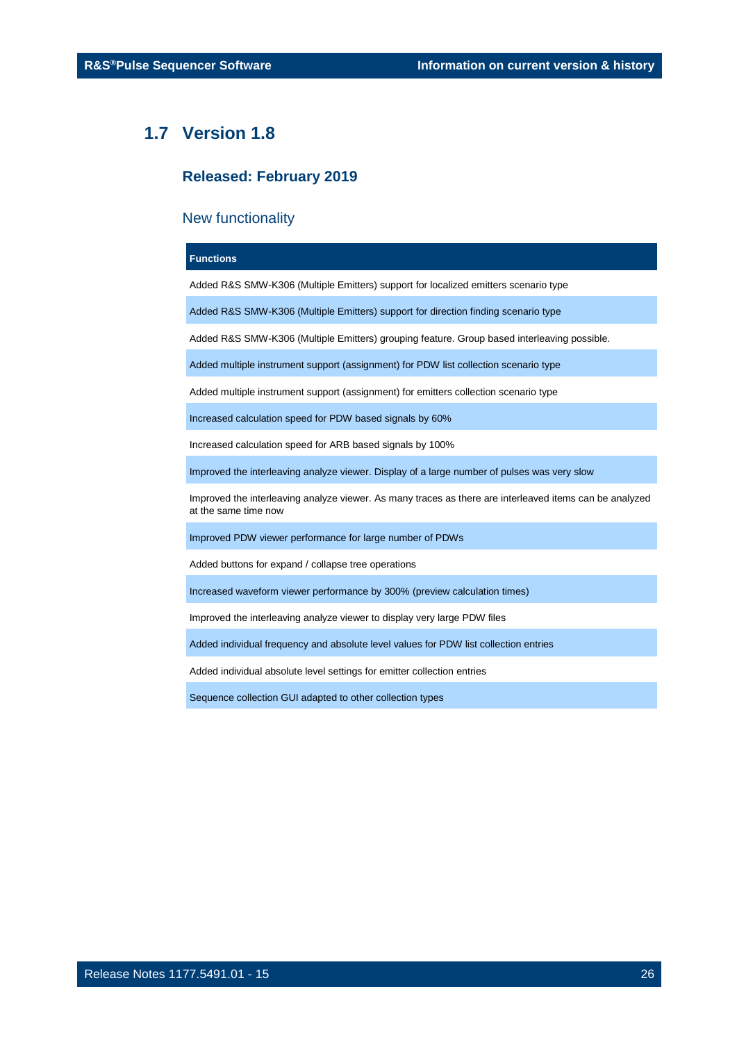### <span id="page-25-0"></span>**1.7 Version 1.8**

### **Released: February 2019**

### New functionality

### **Functions**

Added R&S SMW-K306 (Multiple Emitters) support for localized emitters scenario type

Added R&S SMW-K306 (Multiple Emitters) support for direction finding scenario type

Added R&S SMW-K306 (Multiple Emitters) grouping feature. Group based interleaving possible.

Added multiple instrument support (assignment) for PDW list collection scenario type

Added multiple instrument support (assignment) for emitters collection scenario type

Increased calculation speed for PDW based signals by 60%

Increased calculation speed for ARB based signals by 100%

Improved the interleaving analyze viewer. Display of a large number of pulses was very slow

Improved the interleaving analyze viewer. As many traces as there are interleaved items can be analyzed at the same time now

Improved PDW viewer performance for large number of PDWs

Added buttons for expand / collapse tree operations

Increased waveform viewer performance by 300% (preview calculation times)

Improved the interleaving analyze viewer to display very large PDW files

Added individual frequency and absolute level values for PDW list collection entries

Added individual absolute level settings for emitter collection entries

Sequence collection GUI adapted to other collection types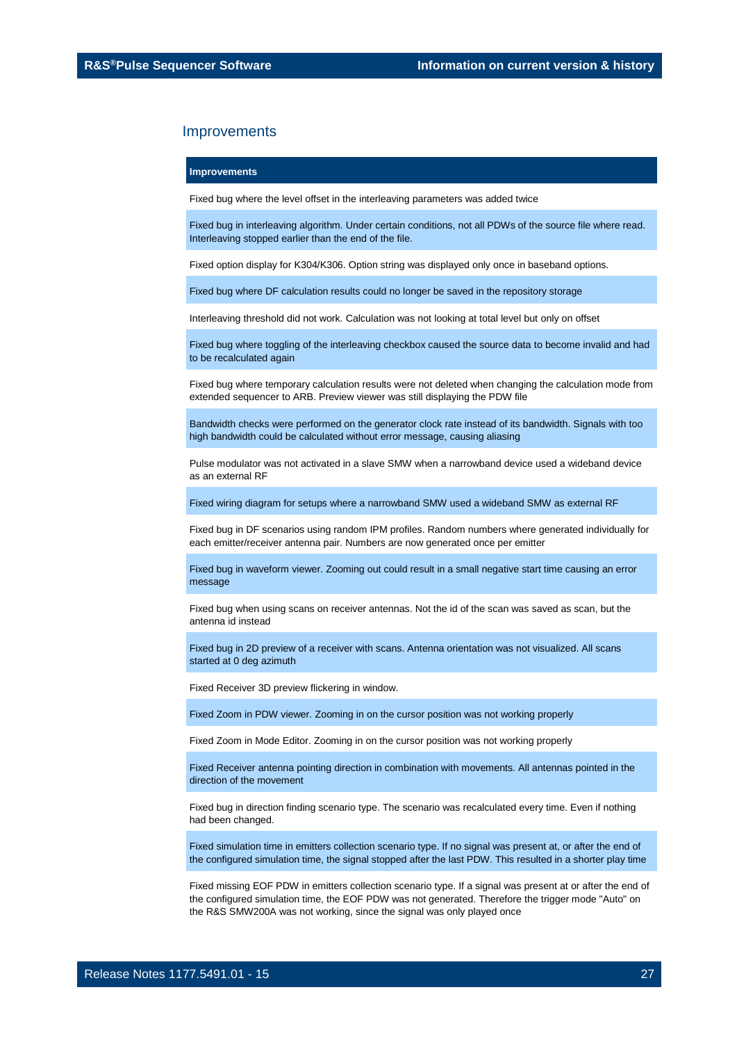### **Improvements**

Fixed bug where the level offset in the interleaving parameters was added twice

Fixed bug in interleaving algorithm. Under certain conditions, not all PDWs of the source file where read. Interleaving stopped earlier than the end of the file.

Fixed option display for K304/K306. Option string was displayed only once in baseband options.

Fixed bug where DF calculation results could no longer be saved in the repository storage

Interleaving threshold did not work. Calculation was not looking at total level but only on offset

Fixed bug where toggling of the interleaving checkbox caused the source data to become invalid and had to be recalculated again

Fixed bug where temporary calculation results were not deleted when changing the calculation mode from extended sequencer to ARB. Preview viewer was still displaying the PDW file

Bandwidth checks were performed on the generator clock rate instead of its bandwidth. Signals with too high bandwidth could be calculated without error message, causing aliasing

Pulse modulator was not activated in a slave SMW when a narrowband device used a wideband device as an external RF

Fixed wiring diagram for setups where a narrowband SMW used a wideband SMW as external RF

Fixed bug in DF scenarios using random IPM profiles. Random numbers where generated individually for each emitter/receiver antenna pair. Numbers are now generated once per emitter

Fixed bug in waveform viewer. Zooming out could result in a small negative start time causing an error message

Fixed bug when using scans on receiver antennas. Not the id of the scan was saved as scan, but the antenna id instead

Fixed bug in 2D preview of a receiver with scans. Antenna orientation was not visualized. All scans started at 0 deg azimuth

Fixed Receiver 3D preview flickering in window.

Fixed Zoom in PDW viewer. Zooming in on the cursor position was not working properly

Fixed Zoom in Mode Editor. Zooming in on the cursor position was not working properly

Fixed Receiver antenna pointing direction in combination with movements. All antennas pointed in the direction of the movement

Fixed bug in direction finding scenario type. The scenario was recalculated every time. Even if nothing had been changed.

Fixed simulation time in emitters collection scenario type. If no signal was present at, or after the end of the configured simulation time, the signal stopped after the last PDW. This resulted in a shorter play time

Fixed missing EOF PDW in emitters collection scenario type. If a signal was present at or after the end of the configured simulation time, the EOF PDW was not generated. Therefore the trigger mode "Auto" on the R&S SMW200A was not working, since the signal was only played once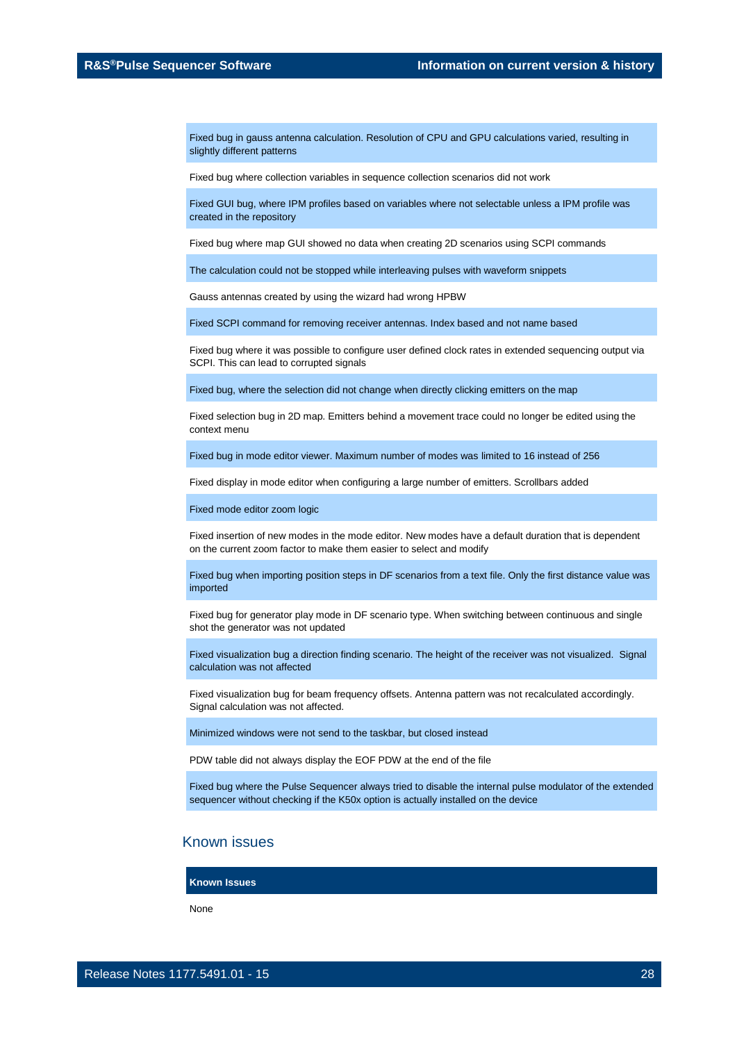Fixed bug in gauss antenna calculation. Resolution of CPU and GPU calculations varied, resulting in slightly different patterns

Fixed bug where collection variables in sequence collection scenarios did not work

Fixed GUI bug, where IPM profiles based on variables where not selectable unless a IPM profile was created in the repository

Fixed bug where map GUI showed no data when creating 2D scenarios using SCPI commands

The calculation could not be stopped while interleaving pulses with waveform snippets

Gauss antennas created by using the wizard had wrong HPBW

Fixed SCPI command for removing receiver antennas. Index based and not name based

Fixed bug where it was possible to configure user defined clock rates in extended sequencing output via SCPI. This can lead to corrupted signals

Fixed bug, where the selection did not change when directly clicking emitters on the map

Fixed selection bug in 2D map. Emitters behind a movement trace could no longer be edited using the context menu

Fixed bug in mode editor viewer. Maximum number of modes was limited to 16 instead of 256

Fixed display in mode editor when configuring a large number of emitters. Scrollbars added

Fixed mode editor zoom logic

Fixed insertion of new modes in the mode editor. New modes have a default duration that is dependent on the current zoom factor to make them easier to select and modify

Fixed bug when importing position steps in DF scenarios from a text file. Only the first distance value was imported

Fixed bug for generator play mode in DF scenario type. When switching between continuous and single shot the generator was not updated

Fixed visualization bug a direction finding scenario. The height of the receiver was not visualized. Signal calculation was not affected

Fixed visualization bug for beam frequency offsets. Antenna pattern was not recalculated accordingly. Signal calculation was not affected.

Minimized windows were not send to the taskbar, but closed instead

PDW table did not always display the EOF PDW at the end of the file

Fixed bug where the Pulse Sequencer always tried to disable the internal pulse modulator of the extended sequencer without checking if the K50x option is actually installed on the device

### Known issues

**Known Issues**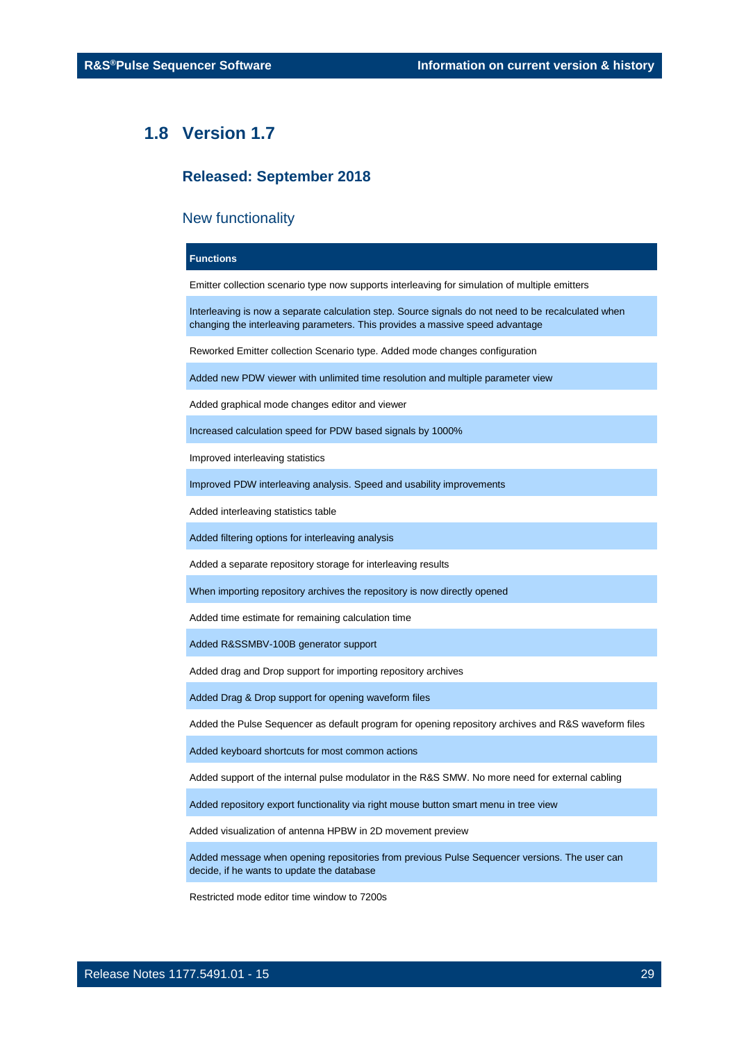### <span id="page-28-0"></span>**1.8 Version 1.7**

### **Released: September 2018**

### New functionality

### **Functions**

Emitter collection scenario type now supports interleaving for simulation of multiple emitters

Interleaving is now a separate calculation step. Source signals do not need to be recalculated when changing the interleaving parameters. This provides a massive speed advantage

Reworked Emitter collection Scenario type. Added mode changes configuration

Added new PDW viewer with unlimited time resolution and multiple parameter view

Added graphical mode changes editor and viewer

Increased calculation speed for PDW based signals by 1000%

Improved interleaving statistics

Improved PDW interleaving analysis. Speed and usability improvements

Added interleaving statistics table

Added filtering options for interleaving analysis

Added a separate repository storage for interleaving results

When importing repository archives the repository is now directly opened

Added time estimate for remaining calculation time

Added R&SSMBV-100B generator support

Added drag and Drop support for importing repository archives

Added Drag & Drop support for opening waveform files

Added the Pulse Sequencer as default program for opening repository archives and R&S waveform files

Added keyboard shortcuts for most common actions

Added support of the internal pulse modulator in the R&S SMW. No more need for external cabling

Added repository export functionality via right mouse button smart menu in tree view

Added visualization of antenna HPBW in 2D movement preview

Added message when opening repositories from previous Pulse Sequencer versions. The user can decide, if he wants to update the database

Restricted mode editor time window to 7200s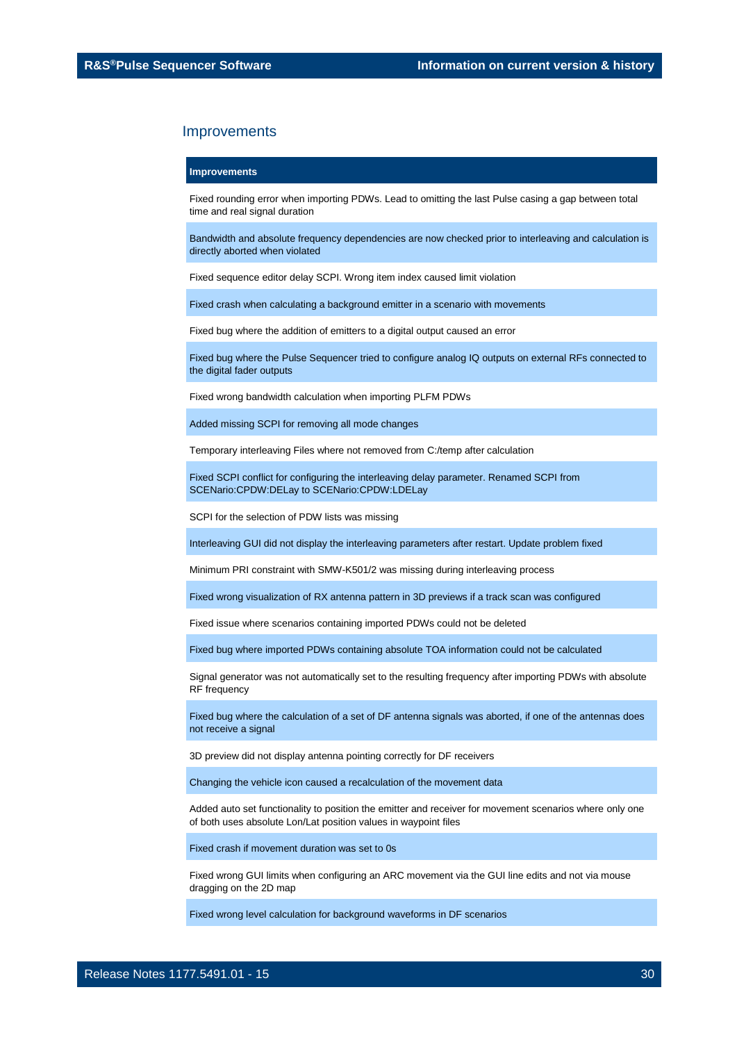#### **Improvements**

Fixed rounding error when importing PDWs. Lead to omitting the last Pulse casing a gap between total time and real signal duration

Bandwidth and absolute frequency dependencies are now checked prior to interleaving and calculation is directly aborted when violated

Fixed sequence editor delay SCPI. Wrong item index caused limit violation

Fixed crash when calculating a background emitter in a scenario with movements

Fixed bug where the addition of emitters to a digital output caused an error

Fixed bug where the Pulse Sequencer tried to configure analog IQ outputs on external RFs connected to the digital fader outputs

Fixed wrong bandwidth calculation when importing PLFM PDWs

Added missing SCPI for removing all mode changes

Temporary interleaving Files where not removed from C:/temp after calculation

Fixed SCPI conflict for configuring the interleaving delay parameter. Renamed SCPI from SCENario:CPDW:DELay to SCENario:CPDW:LDELay

SCPI for the selection of PDW lists was missing

Interleaving GUI did not display the interleaving parameters after restart. Update problem fixed

Minimum PRI constraint with SMW-K501/2 was missing during interleaving process

Fixed wrong visualization of RX antenna pattern in 3D previews if a track scan was configured

Fixed issue where scenarios containing imported PDWs could not be deleted

Fixed bug where imported PDWs containing absolute TOA information could not be calculated

Signal generator was not automatically set to the resulting frequency after importing PDWs with absolute RF frequency

Fixed bug where the calculation of a set of DF antenna signals was aborted, if one of the antennas does not receive a signal

3D preview did not display antenna pointing correctly for DF receivers

Changing the vehicle icon caused a recalculation of the movement data

Added auto set functionality to position the emitter and receiver for movement scenarios where only one of both uses absolute Lon/Lat position values in waypoint files

Fixed crash if movement duration was set to 0s

Fixed wrong GUI limits when configuring an ARC movement via the GUI line edits and not via mouse dragging on the 2D map

Fixed wrong level calculation for background waveforms in DF scenarios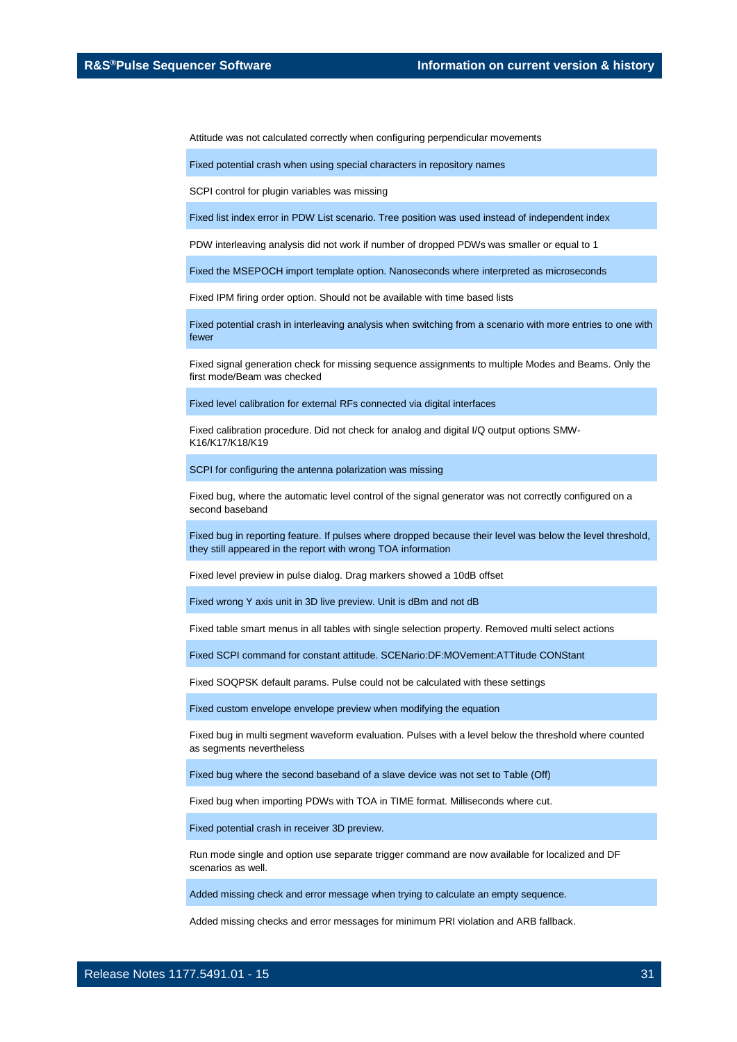Attitude was not calculated correctly when configuring perpendicular movements

Fixed potential crash when using special characters in repository names

SCPI control for plugin variables was missing

Fixed list index error in PDW List scenario. Tree position was used instead of independent index

PDW interleaving analysis did not work if number of dropped PDWs was smaller or equal to 1

Fixed the MSEPOCH import template option. Nanoseconds where interpreted as microseconds

Fixed IPM firing order option. Should not be available with time based lists

Fixed potential crash in interleaving analysis when switching from a scenario with more entries to one with fewer

Fixed signal generation check for missing sequence assignments to multiple Modes and Beams. Only the first mode/Beam was checked

Fixed level calibration for external RFs connected via digital interfaces

Fixed calibration procedure. Did not check for analog and digital I/Q output options SMW-K16/K17/K18/K19

SCPI for configuring the antenna polarization was missing

Fixed bug, where the automatic level control of the signal generator was not correctly configured on a second baseband

Fixed bug in reporting feature. If pulses where dropped because their level was below the level threshold, they still appeared in the report with wrong TOA information

Fixed level preview in pulse dialog. Drag markers showed a 10dB offset

Fixed wrong Y axis unit in 3D live preview. Unit is dBm and not dB

Fixed table smart menus in all tables with single selection property. Removed multi select actions

Fixed SCPI command for constant attitude. SCENario:DF:MOVement:ATTitude CONStant

Fixed SOQPSK default params. Pulse could not be calculated with these settings

Fixed custom envelope envelope preview when modifying the equation

Fixed bug in multi segment waveform evaluation. Pulses with a level below the threshold where counted as segments nevertheless

Fixed bug where the second baseband of a slave device was not set to Table (Off)

Fixed bug when importing PDWs with TOA in TIME format. Milliseconds where cut.

Fixed potential crash in receiver 3D preview.

Run mode single and option use separate trigger command are now available for localized and DF scenarios as well.

Added missing check and error message when trying to calculate an empty sequence.

Added missing checks and error messages for minimum PRI violation and ARB fallback.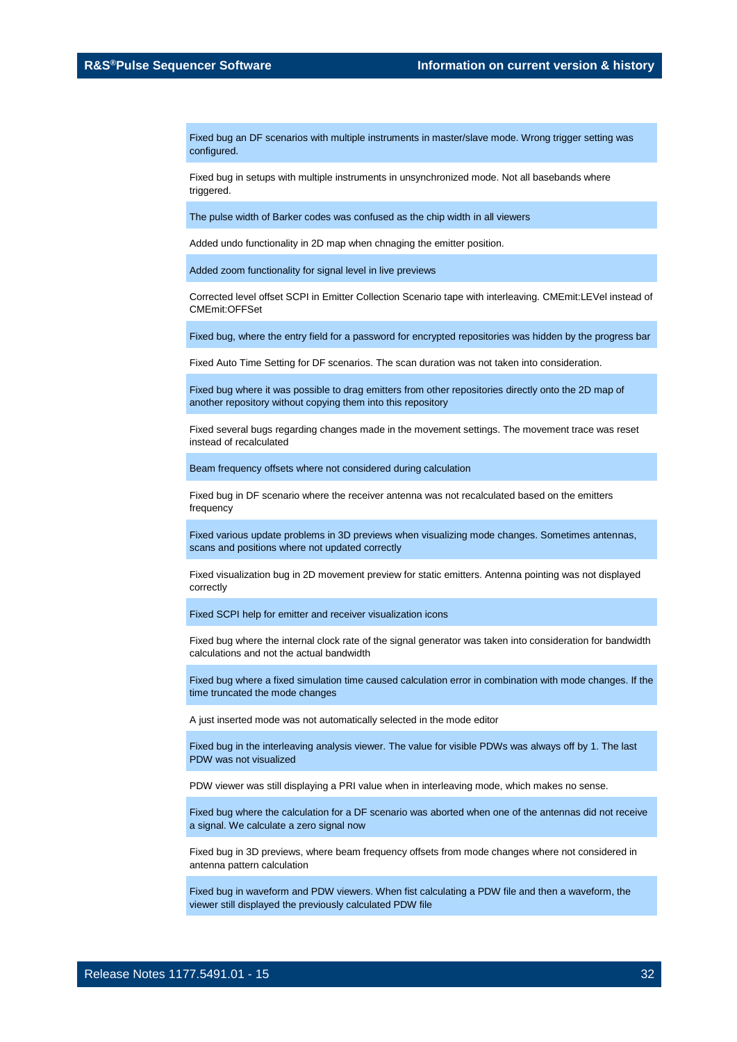Fixed bug an DF scenarios with multiple instruments in master/slave mode. Wrong trigger setting was configured.

Fixed bug in setups with multiple instruments in unsynchronized mode. Not all basebands where triggered.

The pulse width of Barker codes was confused as the chip width in all viewers

Added undo functionality in 2D map when chnaging the emitter position.

Added zoom functionality for signal level in live previews

Corrected level offset SCPI in Emitter Collection Scenario tape with interleaving. CMEmit:LEVel instead of CMEmit:OFFSet

Fixed bug, where the entry field for a password for encrypted repositories was hidden by the progress bar

Fixed Auto Time Setting for DF scenarios. The scan duration was not taken into consideration.

Fixed bug where it was possible to drag emitters from other repositories directly onto the 2D map of another repository without copying them into this repository

Fixed several bugs regarding changes made in the movement settings. The movement trace was reset instead of recalculated

Beam frequency offsets where not considered during calculation

Fixed bug in DF scenario where the receiver antenna was not recalculated based on the emitters frequency

Fixed various update problems in 3D previews when visualizing mode changes. Sometimes antennas, scans and positions where not updated correctly

Fixed visualization bug in 2D movement preview for static emitters. Antenna pointing was not displayed correctly

Fixed SCPI help for emitter and receiver visualization icons

Fixed bug where the internal clock rate of the signal generator was taken into consideration for bandwidth calculations and not the actual bandwidth

Fixed bug where a fixed simulation time caused calculation error in combination with mode changes. If the time truncated the mode changes

A just inserted mode was not automatically selected in the mode editor

Fixed bug in the interleaving analysis viewer. The value for visible PDWs was always off by 1. The last PDW was not visualized

PDW viewer was still displaying a PRI value when in interleaving mode, which makes no sense.

Fixed bug where the calculation for a DF scenario was aborted when one of the antennas did not receive a signal. We calculate a zero signal now

Fixed bug in 3D previews, where beam frequency offsets from mode changes where not considered in antenna pattern calculation

Fixed bug in waveform and PDW viewers. When fist calculating a PDW file and then a waveform, the viewer still displayed the previously calculated PDW file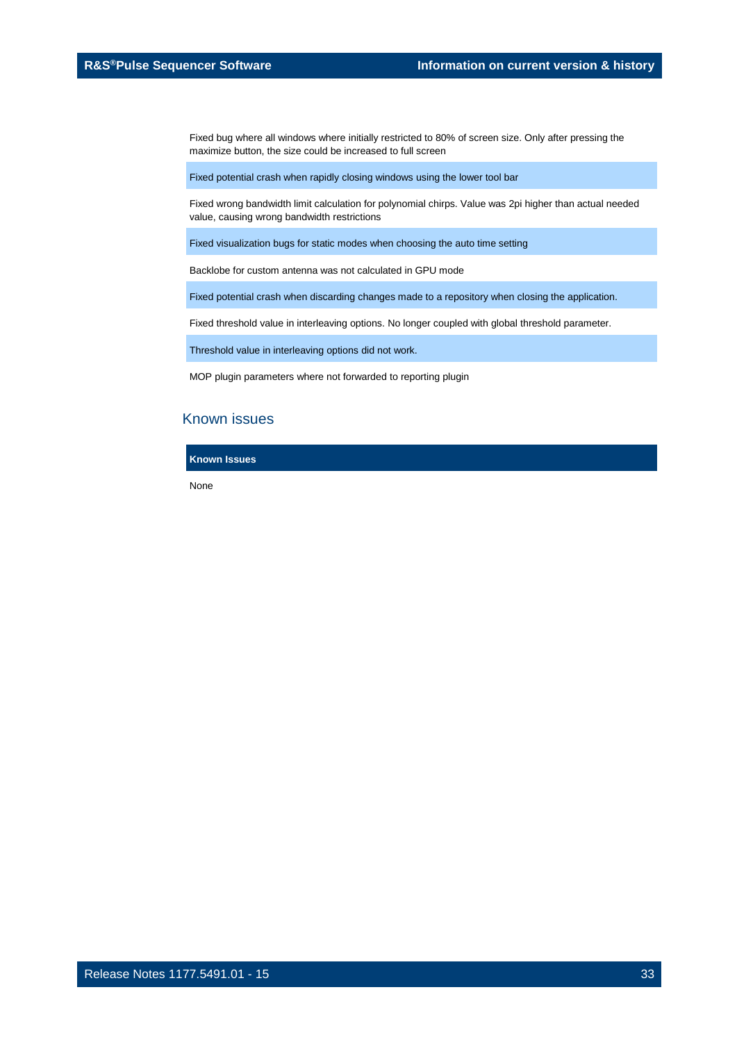Fixed bug where all windows where initially restricted to 80% of screen size. Only after pressing the maximize button, the size could be increased to full screen

Fixed potential crash when rapidly closing windows using the lower tool bar

Fixed wrong bandwidth limit calculation for polynomial chirps. Value was 2pi higher than actual needed value, causing wrong bandwidth restrictions

Fixed visualization bugs for static modes when choosing the auto time setting

Backlobe for custom antenna was not calculated in GPU mode

Fixed potential crash when discarding changes made to a repository when closing the application.

Fixed threshold value in interleaving options. No longer coupled with global threshold parameter.

Threshold value in interleaving options did not work.

MOP plugin parameters where not forwarded to reporting plugin

### Known issues

**Known Issues**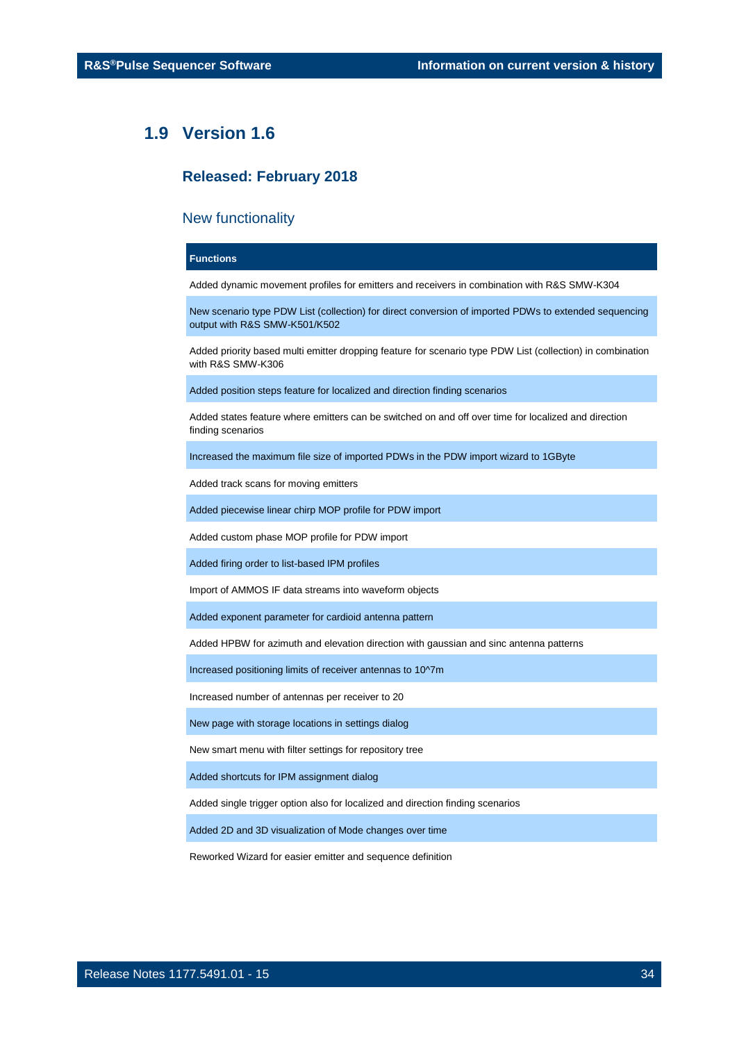### <span id="page-33-0"></span>**1.9 Version 1.6**

### **Released: February 2018**

### New functionality

### **Functions**

Added dynamic movement profiles for emitters and receivers in combination with R&S SMW-K304

New scenario type PDW List (collection) for direct conversion of imported PDWs to extended sequencing output with R&S SMW-K501/K502

Added priority based multi emitter dropping feature for scenario type PDW List (collection) in combination with R&S SMW-K306

Added position steps feature for localized and direction finding scenarios

Added states feature where emitters can be switched on and off over time for localized and direction finding scenarios

Increased the maximum file size of imported PDWs in the PDW import wizard to 1GByte

Added track scans for moving emitters

Added piecewise linear chirp MOP profile for PDW import

Added custom phase MOP profile for PDW import

Added firing order to list-based IPM profiles

Import of AMMOS IF data streams into waveform objects

Added exponent parameter for cardioid antenna pattern

Added HPBW for azimuth and elevation direction with gaussian and sinc antenna patterns

Increased positioning limits of receiver antennas to 10^7m

Increased number of antennas per receiver to 20

New page with storage locations in settings dialog

New smart menu with filter settings for repository tree

Added shortcuts for IPM assignment dialog

Added single trigger option also for localized and direction finding scenarios

Added 2D and 3D visualization of Mode changes over time

Reworked Wizard for easier emitter and sequence definition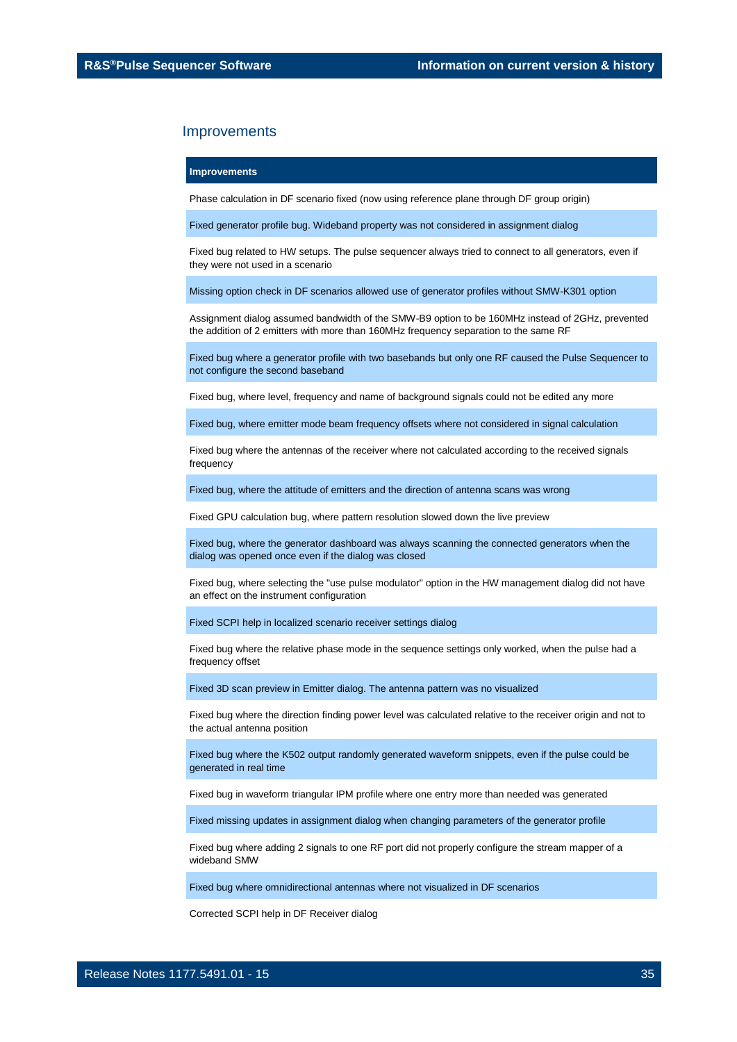#### **Improvements**

Phase calculation in DF scenario fixed (now using reference plane through DF group origin)

Fixed generator profile bug. Wideband property was not considered in assignment dialog

Fixed bug related to HW setups. The pulse sequencer always tried to connect to all generators, even if they were not used in a scenario

Missing option check in DF scenarios allowed use of generator profiles without SMW-K301 option

Assignment dialog assumed bandwidth of the SMW-B9 option to be 160MHz instead of 2GHz, prevented the addition of 2 emitters with more than 160MHz frequency separation to the same RF

Fixed bug where a generator profile with two basebands but only one RF caused the Pulse Sequencer to not configure the second baseband

Fixed bug, where level, frequency and name of background signals could not be edited any more

Fixed bug, where emitter mode beam frequency offsets where not considered in signal calculation

Fixed bug where the antennas of the receiver where not calculated according to the received signals frequency

Fixed bug, where the attitude of emitters and the direction of antenna scans was wrong

Fixed GPU calculation bug, where pattern resolution slowed down the live preview

Fixed bug, where the generator dashboard was always scanning the connected generators when the dialog was opened once even if the dialog was closed

Fixed bug, where selecting the "use pulse modulator" option in the HW management dialog did not have an effect on the instrument configuration

Fixed SCPI help in localized scenario receiver settings dialog

Fixed bug where the relative phase mode in the sequence settings only worked, when the pulse had a frequency offset

Fixed 3D scan preview in Emitter dialog. The antenna pattern was no visualized

Fixed bug where the direction finding power level was calculated relative to the receiver origin and not to the actual antenna position

Fixed bug where the K502 output randomly generated waveform snippets, even if the pulse could be generated in real time

Fixed bug in waveform triangular IPM profile where one entry more than needed was generated

Fixed missing updates in assignment dialog when changing parameters of the generator profile

Fixed bug where adding 2 signals to one RF port did not properly configure the stream mapper of a wideband SMW

Fixed bug where omnidirectional antennas where not visualized in DF scenarios

Corrected SCPI help in DF Receiver dialog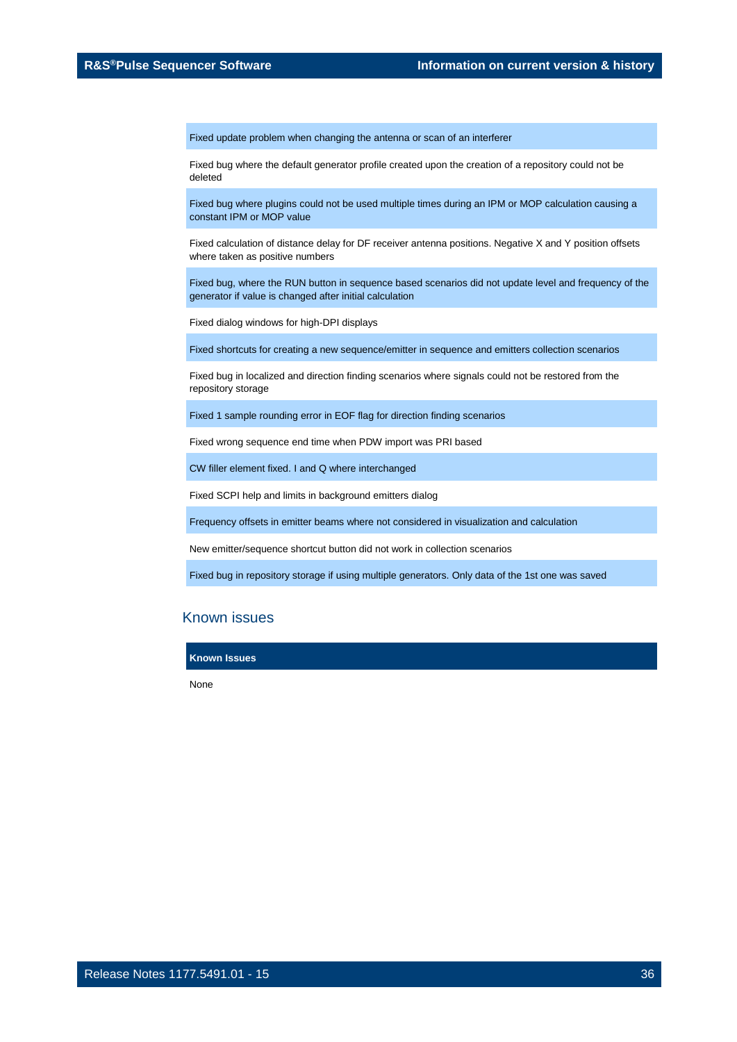Fixed update problem when changing the antenna or scan of an interferer

Fixed bug where the default generator profile created upon the creation of a repository could not be deleted

Fixed bug where plugins could not be used multiple times during an IPM or MOP calculation causing a constant IPM or MOP value

Fixed calculation of distance delay for DF receiver antenna positions. Negative X and Y position offsets where taken as positive numbers

Fixed bug, where the RUN button in sequence based scenarios did not update level and frequency of the generator if value is changed after initial calculation

Fixed dialog windows for high-DPI displays

Fixed shortcuts for creating a new sequence/emitter in sequence and emitters collection scenarios

Fixed bug in localized and direction finding scenarios where signals could not be restored from the repository storage

Fixed 1 sample rounding error in EOF flag for direction finding scenarios

Fixed wrong sequence end time when PDW import was PRI based

CW filler element fixed. I and Q where interchanged

Fixed SCPI help and limits in background emitters dialog

Frequency offsets in emitter beams where not considered in visualization and calculation

New emitter/sequence shortcut button did not work in collection scenarios

Fixed bug in repository storage if using multiple generators. Only data of the 1st one was saved

### Known issues

#### **Known Issues**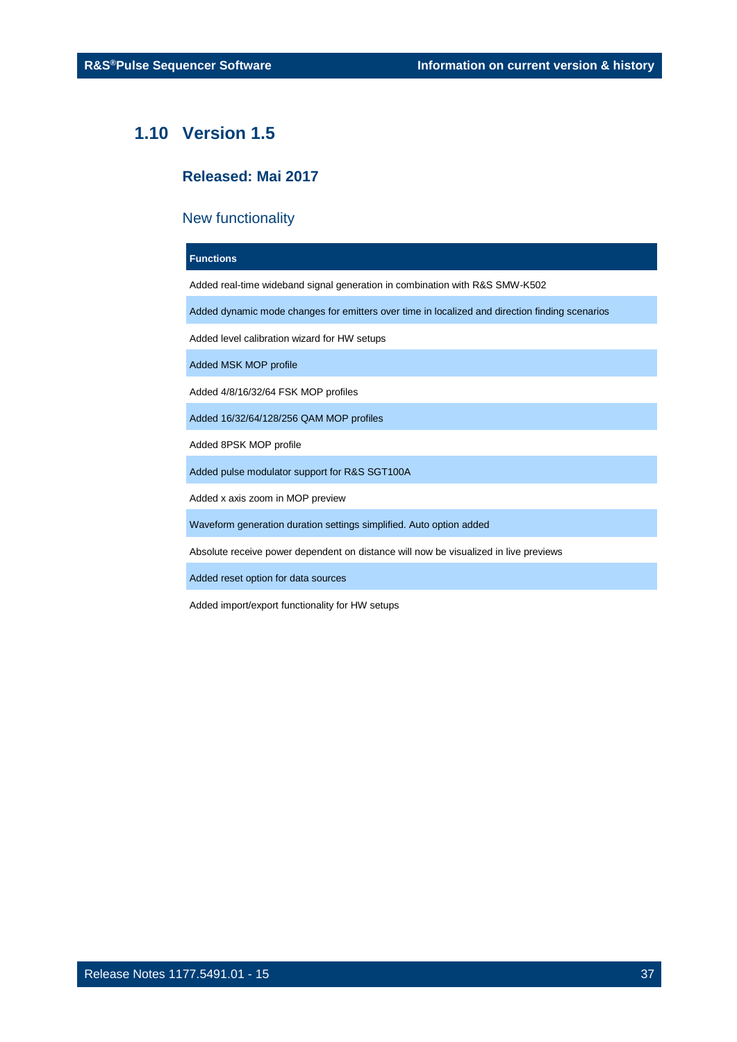### <span id="page-36-0"></span>**1.10 Version 1.5**

### **Released: Mai 2017**

### New functionality

### **Functions**

Added real-time wideband signal generation in combination with R&S SMW-K502

Added dynamic mode changes for emitters over time in localized and direction finding scenarios

Added level calibration wizard for HW setups

Added MSK MOP profile

Added 4/8/16/32/64 FSK MOP profiles

Added 16/32/64/128/256 QAM MOP profiles

Added 8PSK MOP profile

Added pulse modulator support for R&S SGT100A

Added x axis zoom in MOP preview

Waveform generation duration settings simplified. Auto option added

Absolute receive power dependent on distance will now be visualized in live previews

Added reset option for data sources

Added import/export functionality for HW setups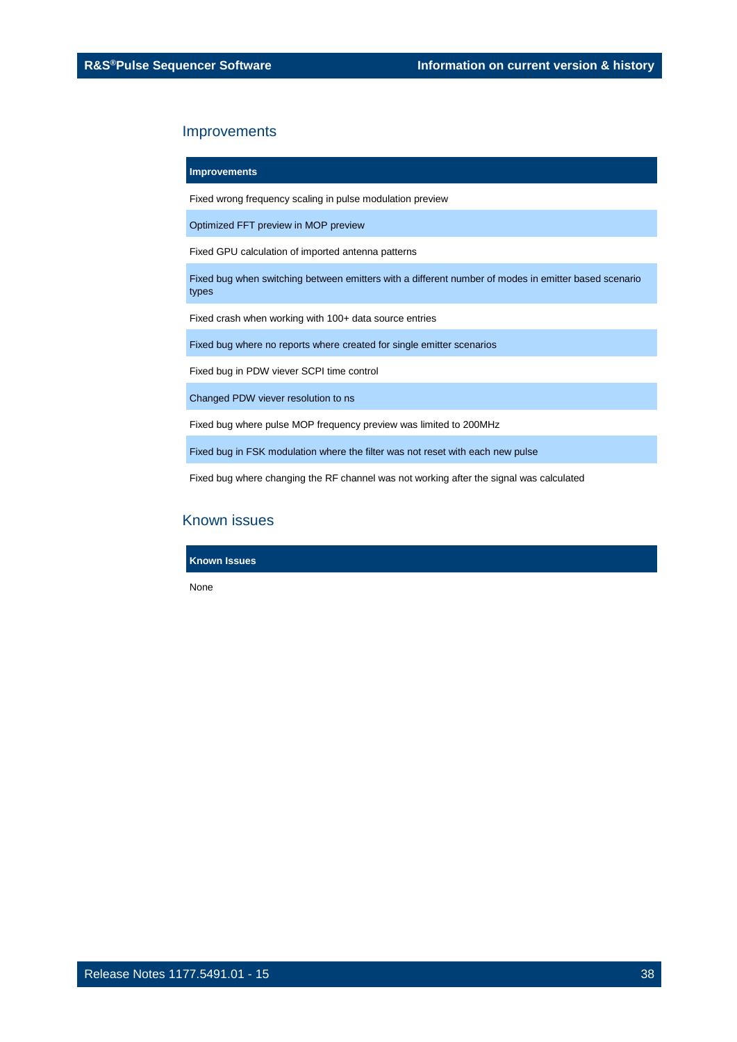**Improvements**

Fixed wrong frequency scaling in pulse modulation preview

Optimized FFT preview in MOP preview

Fixed GPU calculation of imported antenna patterns

Fixed bug when switching between emitters with a different number of modes in emitter based scenario types

Fixed crash when working with 100+ data source entries

Fixed bug where no reports where created for single emitter scenarios

Fixed bug in PDW viever SCPI time control

Changed PDW viever resolution to ns

Fixed bug where pulse MOP frequency preview was limited to 200MHz

Fixed bug in FSK modulation where the filter was not reset with each new pulse

Fixed bug where changing the RF channel was not working after the signal was calculated

### Known issues

**Known Issues**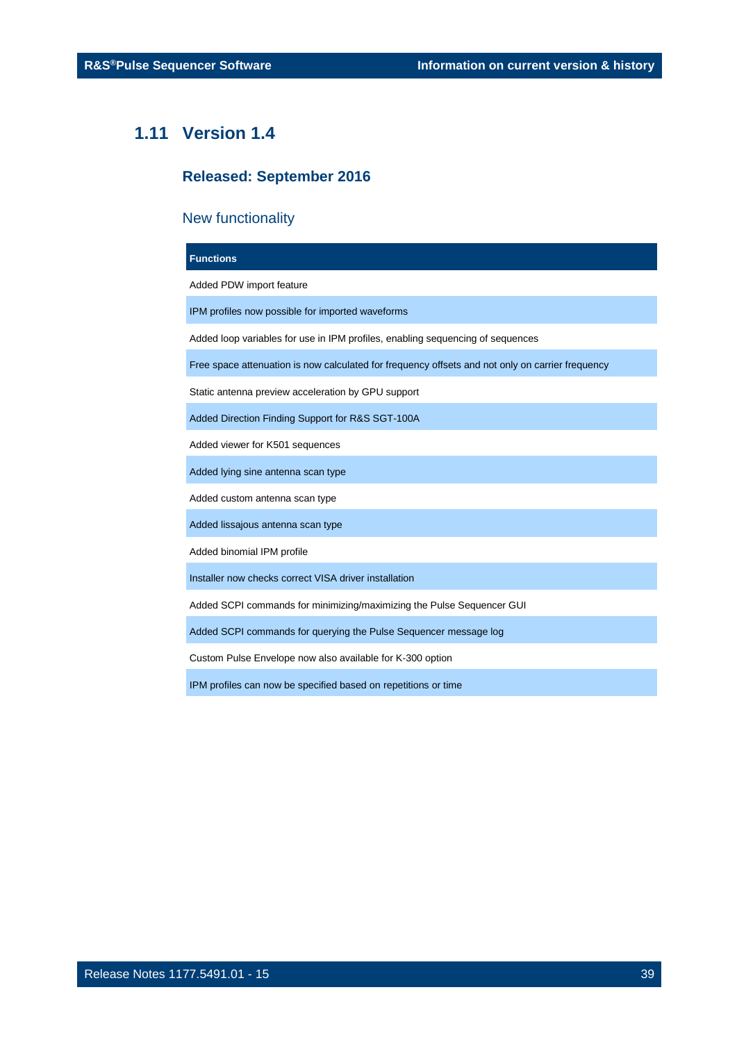### <span id="page-38-0"></span>**1.11 Version 1.4**

### **Released: September 2016**

### New functionality

## **Functions** Added PDW import feature IPM profiles now possible for imported waveforms Added loop variables for use in IPM profiles, enabling sequencing of sequences Free space attenuation is now calculated for frequency offsets and not only on carrier frequency Static antenna preview acceleration by GPU support Added Direction Finding Support for R&S SGT-100A Added viewer for K501 sequences Added lying sine antenna scan type Added custom antenna scan type Added lissajous antenna scan type Added binomial IPM profile Installer now checks correct VISA driver installation Added SCPI commands for minimizing/maximizing the Pulse Sequencer GUI Added SCPI commands for querying the Pulse Sequencer message log Custom Pulse Envelope now also available for K-300 option

IPM profiles can now be specified based on repetitions or time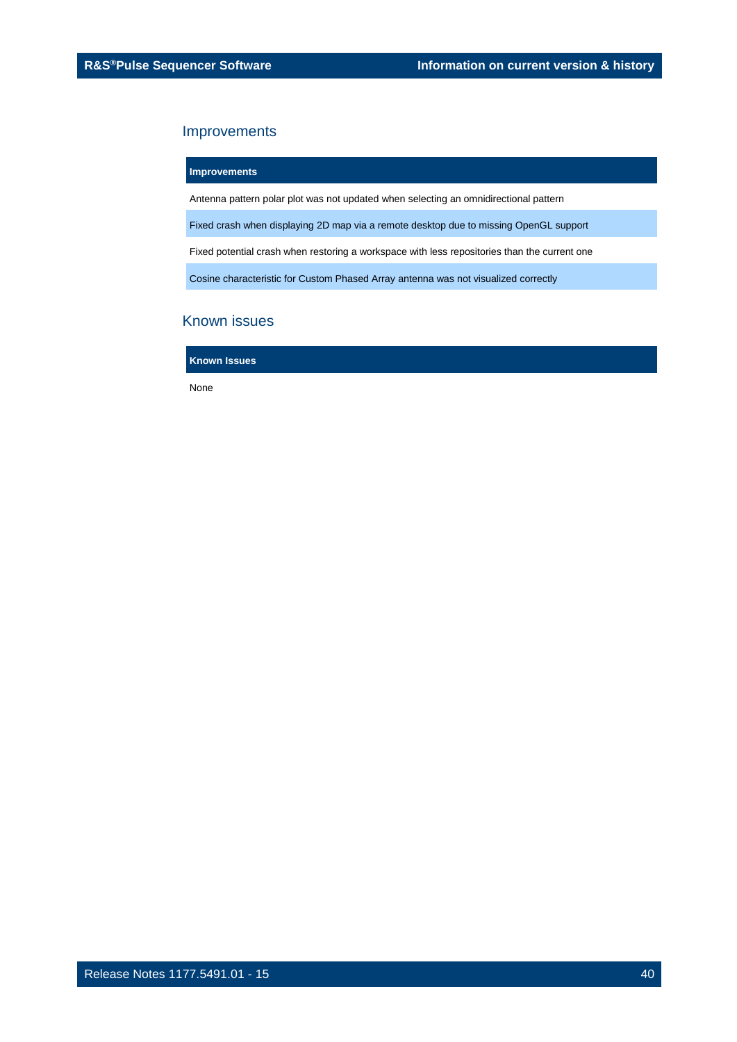**Improvements**

Antenna pattern polar plot was not updated when selecting an omnidirectional pattern

Fixed crash when displaying 2D map via a remote desktop due to missing OpenGL support

Fixed potential crash when restoring a workspace with less repositories than the current one

Cosine characteristic for Custom Phased Array antenna was not visualized correctly

### Known issues

**Known Issues**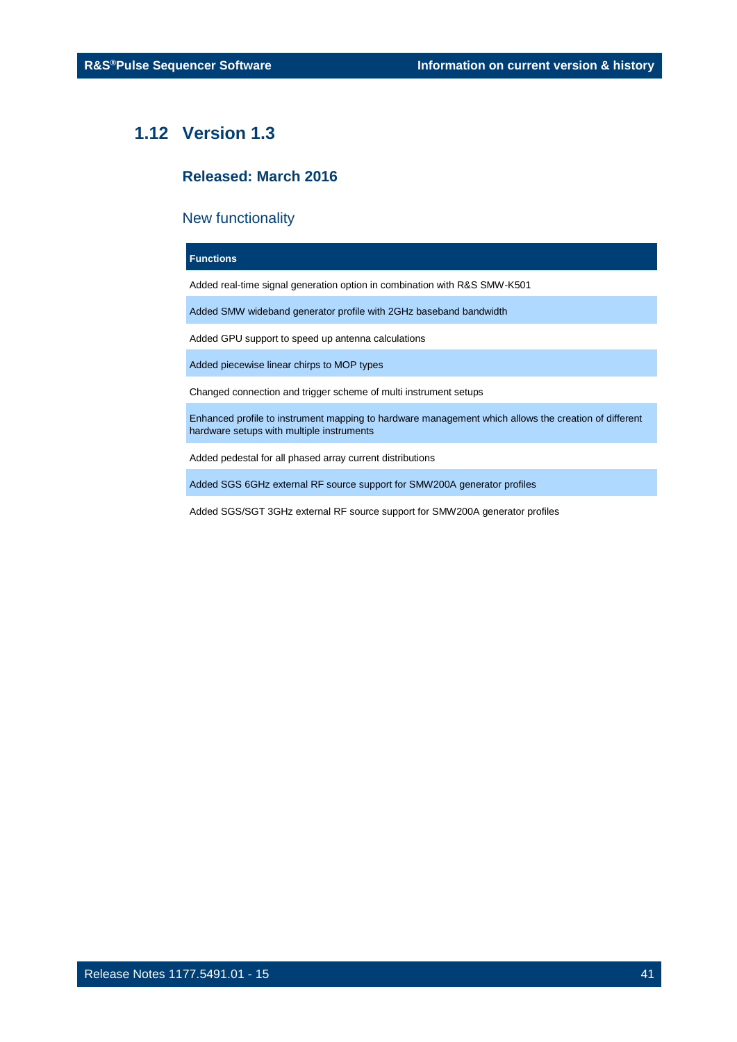### <span id="page-40-0"></span>**1.12 Version 1.3**

### **Released: March 2016**

### New functionality

### **Functions**

Added real-time signal generation option in combination with R&S SMW-K501

Added SMW wideband generator profile with 2GHz baseband bandwidth

Added GPU support to speed up antenna calculations

Added piecewise linear chirps to MOP types

Changed connection and trigger scheme of multi instrument setups

Enhanced profile to instrument mapping to hardware management which allows the creation of different hardware setups with multiple instruments

Added pedestal for all phased array current distributions

Added SGS 6GHz external RF source support for SMW200A generator profiles

Added SGS/SGT 3GHz external RF source support for SMW200A generator profiles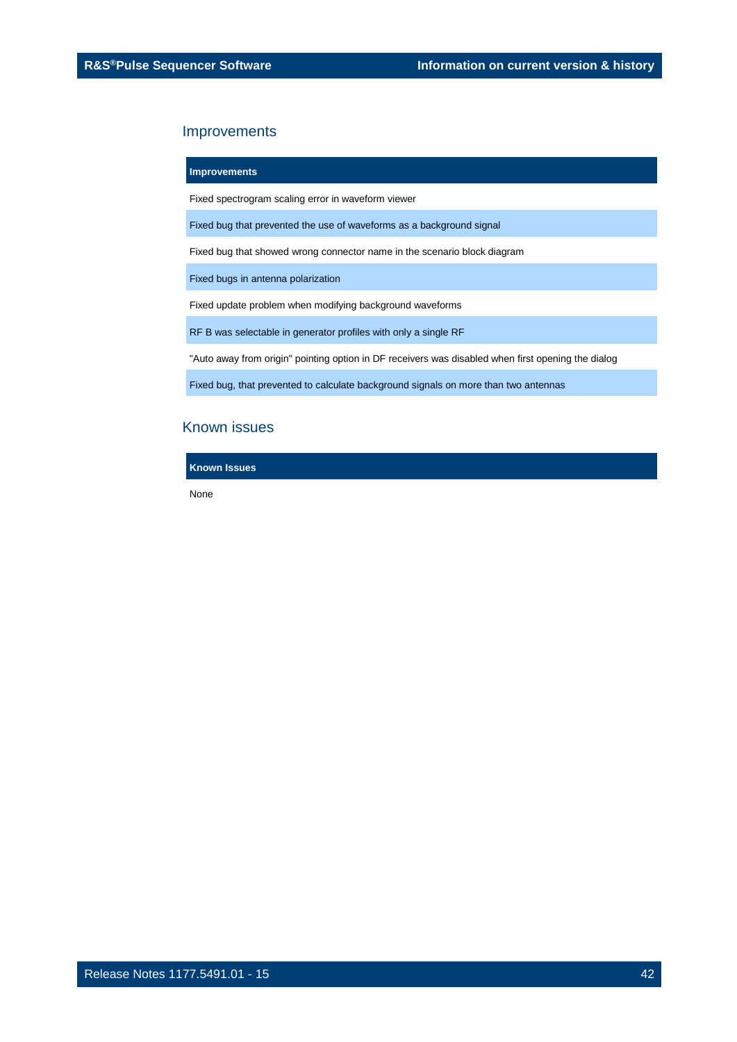### **Improvements**

Fixed spectrogram scaling error in waveform viewer

Fixed bug that prevented the use of waveforms as a background signal

Fixed bug that showed wrong connector name in the scenario block diagram

Fixed bugs in antenna polarization

Fixed update problem when modifying background waveforms

RF B was selectable in generator profiles with only a single RF

"Auto away from origin" pointing option in DF receivers was disabled when first opening the dialog

Fixed bug, that prevented to calculate background signals on more than two antennas

### Known issues

**Known Issues**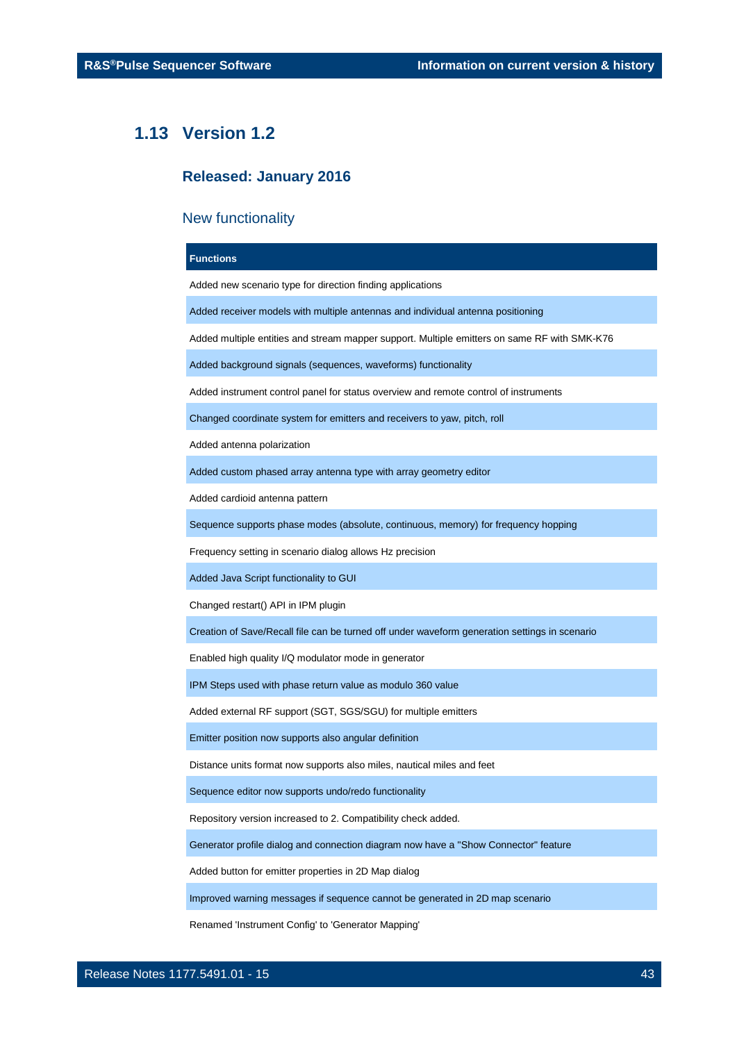### <span id="page-42-0"></span>**1.13 Version 1.2**

### **Released: January 2016**

### New functionality

### **Functions**

Added new scenario type for direction finding applications

Added receiver models with multiple antennas and individual antenna positioning

Added multiple entities and stream mapper support. Multiple emitters on same RF with SMK-K76

Added background signals (sequences, waveforms) functionality

Added instrument control panel for status overview and remote control of instruments

Changed coordinate system for emitters and receivers to yaw, pitch, roll

Added antenna polarization

Added custom phased array antenna type with array geometry editor

Added cardioid antenna pattern

Sequence supports phase modes (absolute, continuous, memory) for frequency hopping

Frequency setting in scenario dialog allows Hz precision

Added Java Script functionality to GUI

Changed restart() API in IPM plugin

Creation of Save/Recall file can be turned off under waveform generation settings in scenario

Enabled high quality I/Q modulator mode in generator

IPM Steps used with phase return value as modulo 360 value

Added external RF support (SGT, SGS/SGU) for multiple emitters

Emitter position now supports also angular definition

Distance units format now supports also miles, nautical miles and feet

Sequence editor now supports undo/redo functionality

Repository version increased to 2. Compatibility check added.

Generator profile dialog and connection diagram now have a "Show Connector" feature

Added button for emitter properties in 2D Map dialog

Improved warning messages if sequence cannot be generated in 2D map scenario

Renamed 'Instrument Config' to 'Generator Mapping'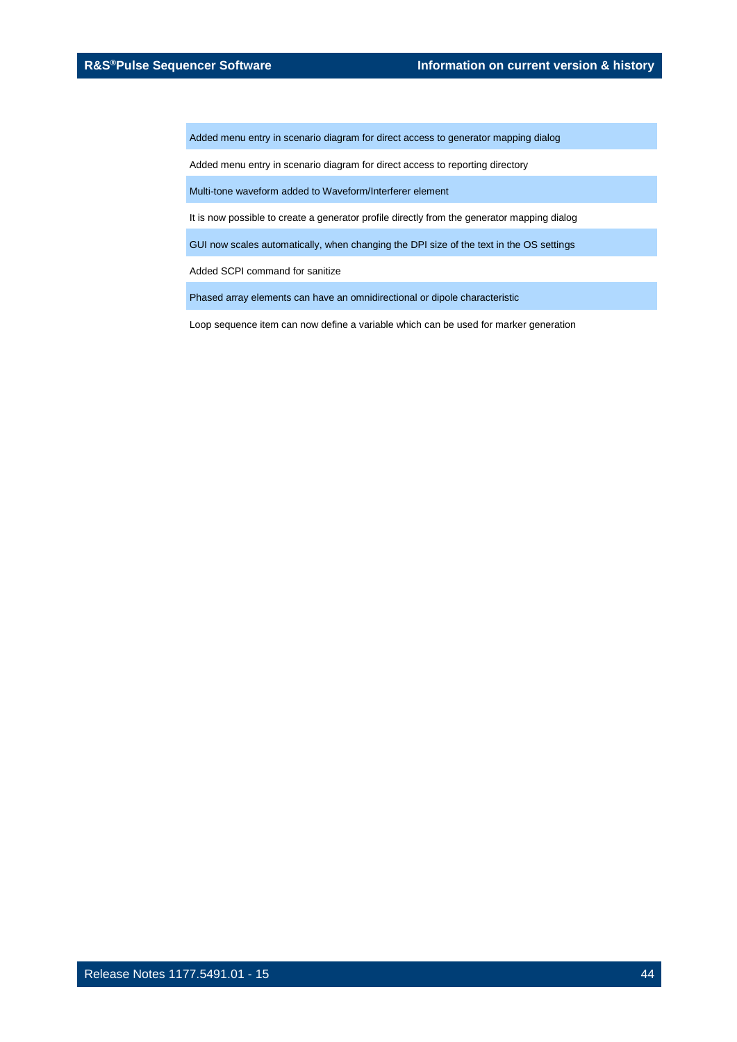Added menu entry in scenario diagram for direct access to generator mapping dialog

Added menu entry in scenario diagram for direct access to reporting directory

Multi-tone waveform added to Waveform/Interferer element

It is now possible to create a generator profile directly from the generator mapping dialog

GUI now scales automatically, when changing the DPI size of the text in the OS settings

Added SCPI command for sanitize

Phased array elements can have an omnidirectional or dipole characteristic

Loop sequence item can now define a variable which can be used for marker generation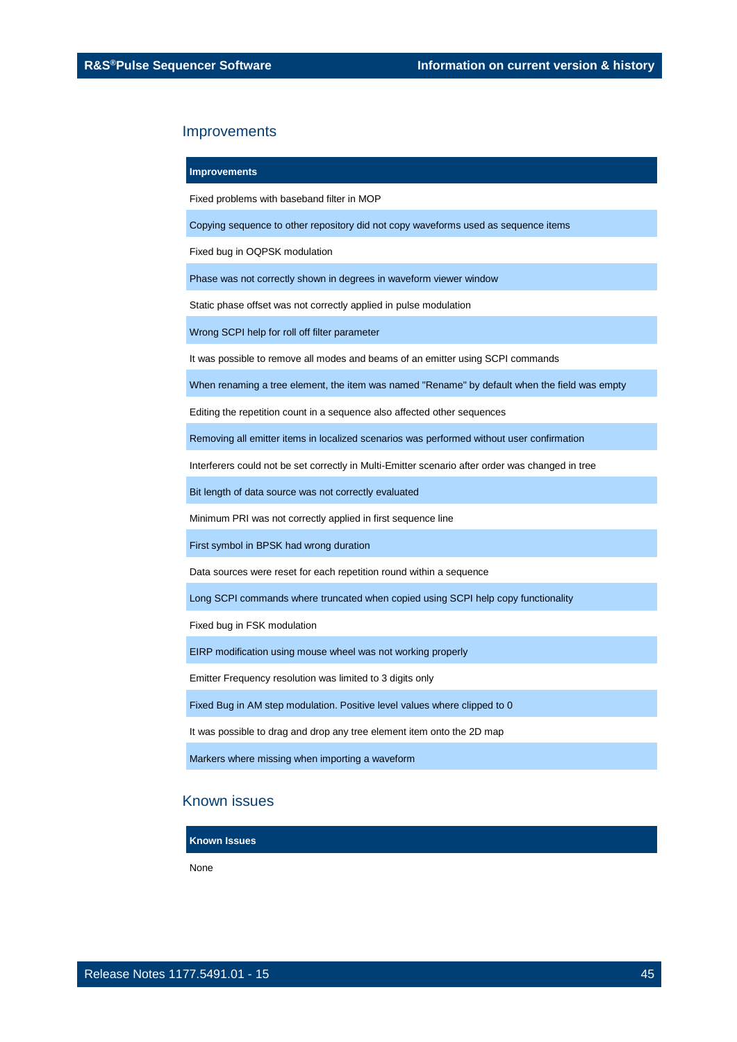**Improvements**

Fixed problems with baseband filter in MOP

Copying sequence to other repository did not copy waveforms used as sequence items

Fixed bug in OQPSK modulation

Phase was not correctly shown in degrees in waveform viewer window

Static phase offset was not correctly applied in pulse modulation

Wrong SCPI help for roll off filter parameter

It was possible to remove all modes and beams of an emitter using SCPI commands

When renaming a tree element, the item was named "Rename" by default when the field was empty

Editing the repetition count in a sequence also affected other sequences

Removing all emitter items in localized scenarios was performed without user confirmation

Interferers could not be set correctly in Multi-Emitter scenario after order was changed in tree

Bit length of data source was not correctly evaluated

Minimum PRI was not correctly applied in first sequence line

First symbol in BPSK had wrong duration

Data sources were reset for each repetition round within a sequence

Long SCPI commands where truncated when copied using SCPI help copy functionality

Fixed bug in FSK modulation

EIRP modification using mouse wheel was not working properly

Emitter Frequency resolution was limited to 3 digits only

Fixed Bug in AM step modulation. Positive level values where clipped to 0

It was possible to drag and drop any tree element item onto the 2D map

Markers where missing when importing a waveform

### Known issues

**Known Issues**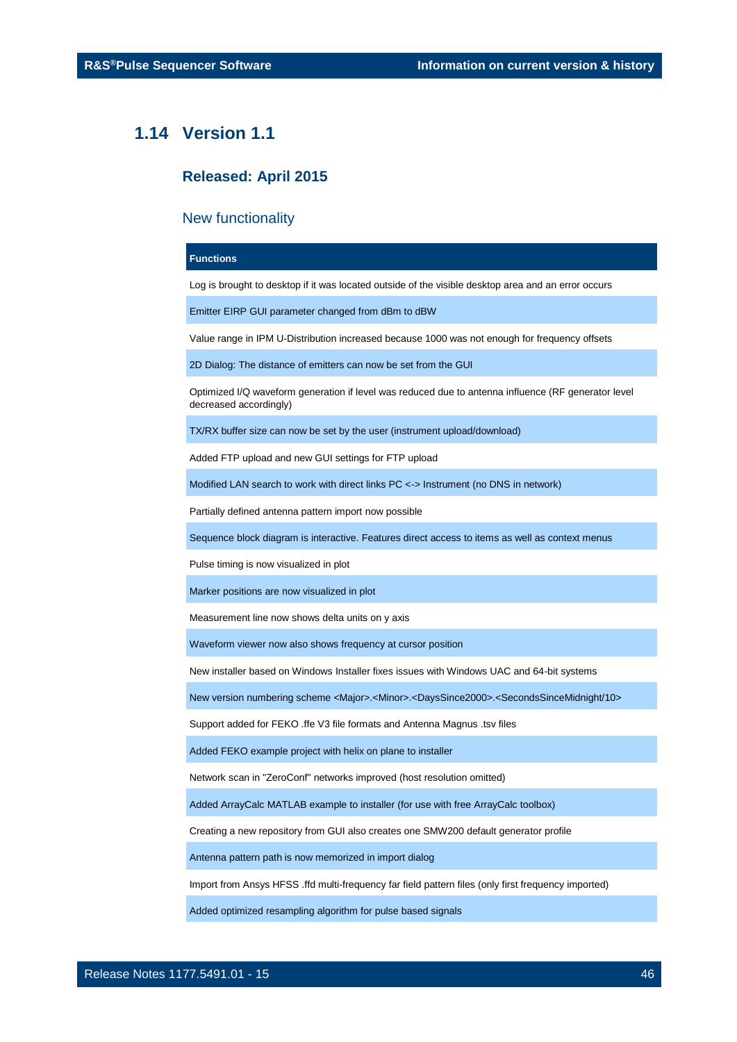### <span id="page-45-0"></span>**1.14 Version 1.1**

### **Released: April 2015**

### New functionality

### **Functions**

Log is brought to desktop if it was located outside of the visible desktop area and an error occurs

Emitter EIRP GUI parameter changed from dBm to dBW

Value range in IPM U-Distribution increased because 1000 was not enough for frequency offsets

2D Dialog: The distance of emitters can now be set from the GUI

Optimized I/Q waveform generation if level was reduced due to antenna influence (RF generator level decreased accordingly)

TX/RX buffer size can now be set by the user (instrument upload/download)

Added FTP upload and new GUI settings for FTP upload

Modified LAN search to work with direct links PC <-> Instrument (no DNS in network)

Partially defined antenna pattern import now possible

Sequence block diagram is interactive. Features direct access to items as well as context menus

Pulse timing is now visualized in plot

Marker positions are now visualized in plot

Measurement line now shows delta units on y axis

Waveform viewer now also shows frequency at cursor position

New installer based on Windows Installer fixes issues with Windows UAC and 64-bit systems

New version numbering scheme <Major>.<Minor>.<DaysSince2000>.<SecondsSinceMidnight/10>

Support added for FEKO .ffe V3 file formats and Antenna Magnus .tsv files

Added FEKO example project with helix on plane to installer

Network scan in "ZeroConf" networks improved (host resolution omitted)

Added ArrayCalc MATLAB example to installer (for use with free ArrayCalc toolbox)

Creating a new repository from GUI also creates one SMW200 default generator profile

Antenna pattern path is now memorized in import dialog

Import from Ansys HFSS .ffd multi-frequency far field pattern files (only first frequency imported)

Added optimized resampling algorithm for pulse based signals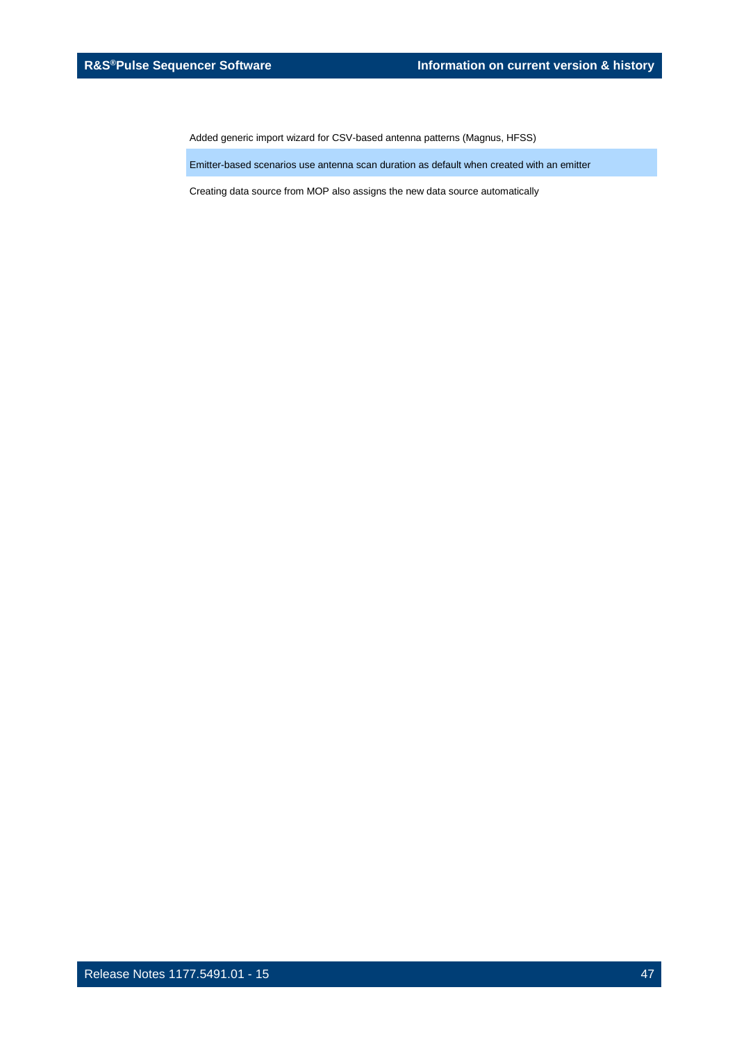Added generic import wizard for CSV-based antenna patterns (Magnus, HFSS)

Emitter-based scenarios use antenna scan duration as default when created with an emitter

Creating data source from MOP also assigns the new data source automatically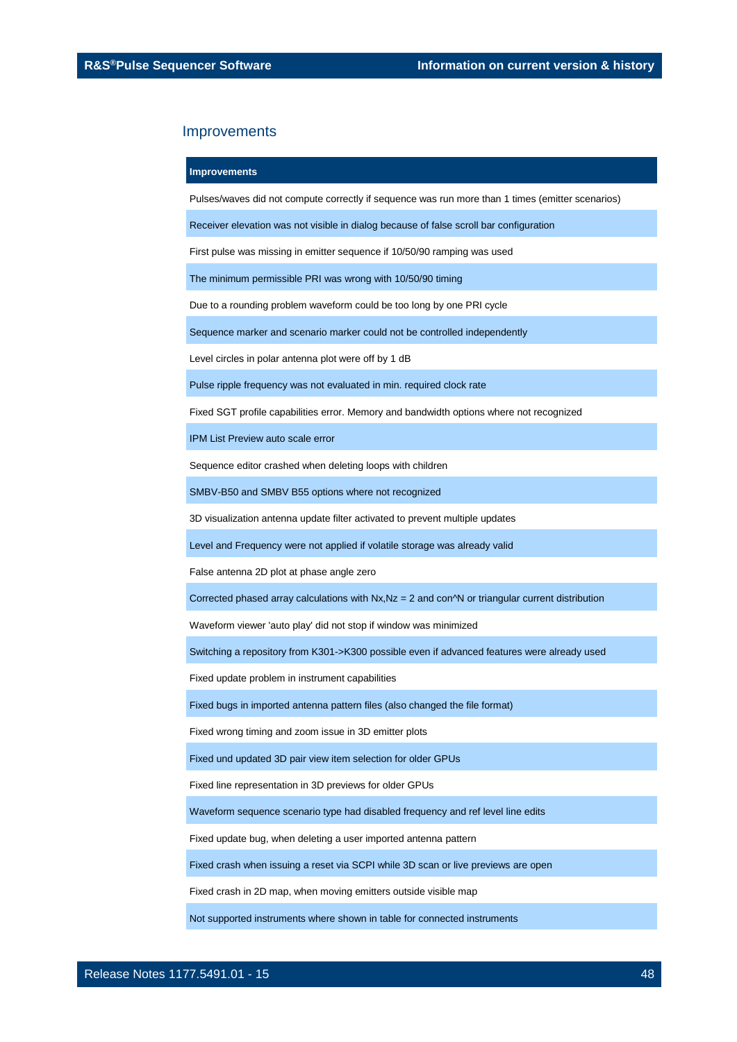#### **Improvements**

Pulses/waves did not compute correctly if sequence was run more than 1 times (emitter scenarios)

Receiver elevation was not visible in dialog because of false scroll bar configuration

First pulse was missing in emitter sequence if 10/50/90 ramping was used

The minimum permissible PRI was wrong with 10/50/90 timing

Due to a rounding problem waveform could be too long by one PRI cycle

Sequence marker and scenario marker could not be controlled independently

Level circles in polar antenna plot were off by 1 dB

Pulse ripple frequency was not evaluated in min. required clock rate

Fixed SGT profile capabilities error. Memory and bandwidth options where not recognized

IPM List Preview auto scale error

Sequence editor crashed when deleting loops with children

SMBV-B50 and SMBV B55 options where not recognized

3D visualization antenna update filter activated to prevent multiple updates

Level and Frequency were not applied if volatile storage was already valid

False antenna 2D plot at phase angle zero

Corrected phased array calculations with  $Nx$ ,  $Nz = 2$  and con $\gamma N$  or triangular current distribution

Waveform viewer 'auto play' did not stop if window was minimized

Switching a repository from K301->K300 possible even if advanced features were already used

Fixed update problem in instrument capabilities

Fixed bugs in imported antenna pattern files (also changed the file format)

Fixed wrong timing and zoom issue in 3D emitter plots

Fixed und updated 3D pair view item selection for older GPUs

Fixed line representation in 3D previews for older GPUs

Waveform sequence scenario type had disabled frequency and ref level line edits

Fixed update bug, when deleting a user imported antenna pattern

Fixed crash when issuing a reset via SCPI while 3D scan or live previews are open

Fixed crash in 2D map, when moving emitters outside visible map

Not supported instruments where shown in table for connected instruments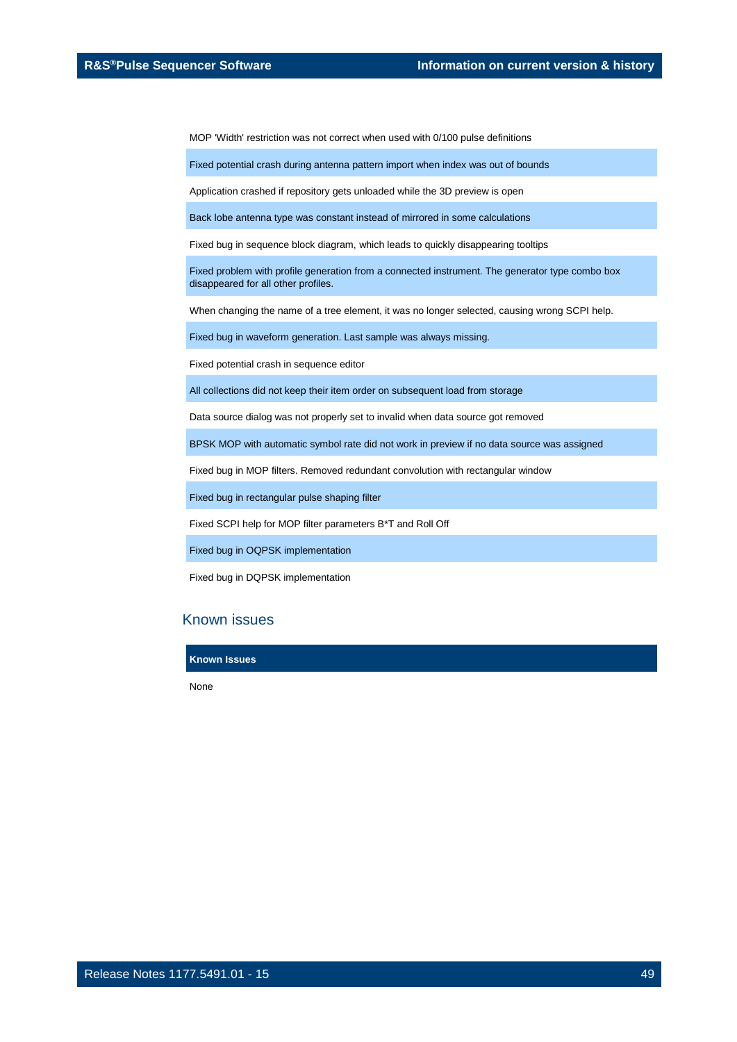MOP 'Width' restriction was not correct when used with 0/100 pulse definitions

Fixed potential crash during antenna pattern import when index was out of bounds

Application crashed if repository gets unloaded while the 3D preview is open

Back lobe antenna type was constant instead of mirrored in some calculations

Fixed bug in sequence block diagram, which leads to quickly disappearing tooltips

Fixed problem with profile generation from a connected instrument. The generator type combo box disappeared for all other profiles.

When changing the name of a tree element, it was no longer selected, causing wrong SCPI help.

Fixed bug in waveform generation. Last sample was always missing.

Fixed potential crash in sequence editor

All collections did not keep their item order on subsequent load from storage

Data source dialog was not properly set to invalid when data source got removed

BPSK MOP with automatic symbol rate did not work in preview if no data source was assigned

Fixed bug in MOP filters. Removed redundant convolution with rectangular window

Fixed bug in rectangular pulse shaping filter

Fixed SCPI help for MOP filter parameters B\*T and Roll Off

Fixed bug in OQPSK implementation

Fixed bug in DQPSK implementation

### Known issues

**Known Issues**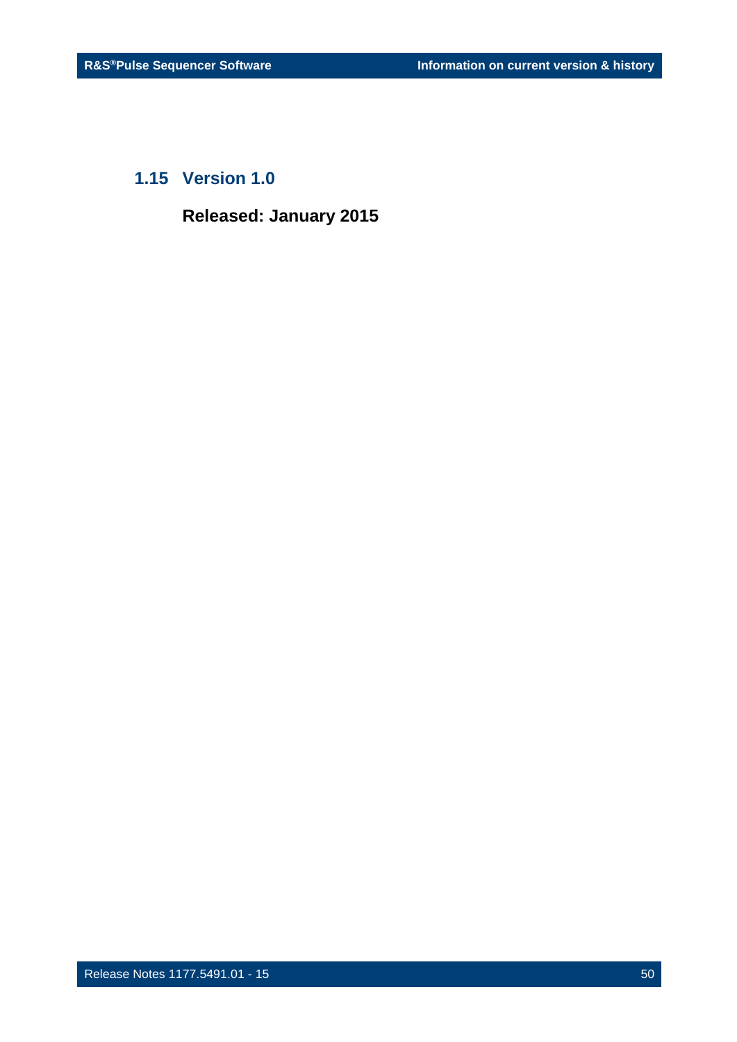### <span id="page-49-0"></span>**1.15 Version 1.0**

**Released: January 2015**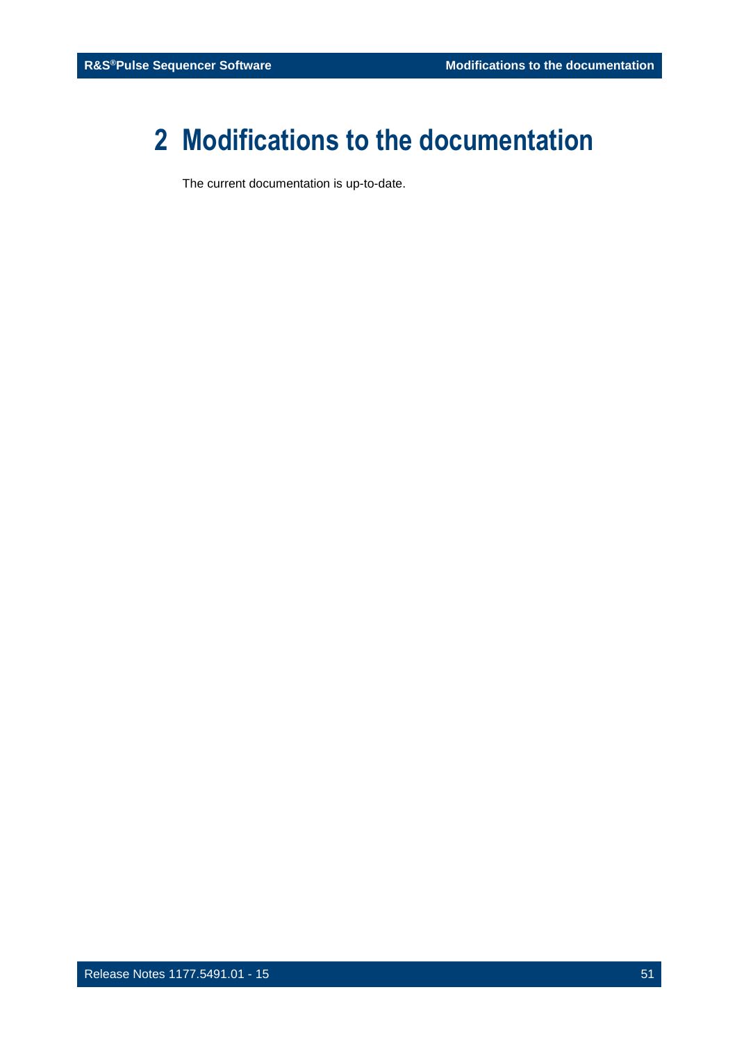# <span id="page-50-0"></span>**2 Modifications to the documentation**

The current documentation is up-to-date.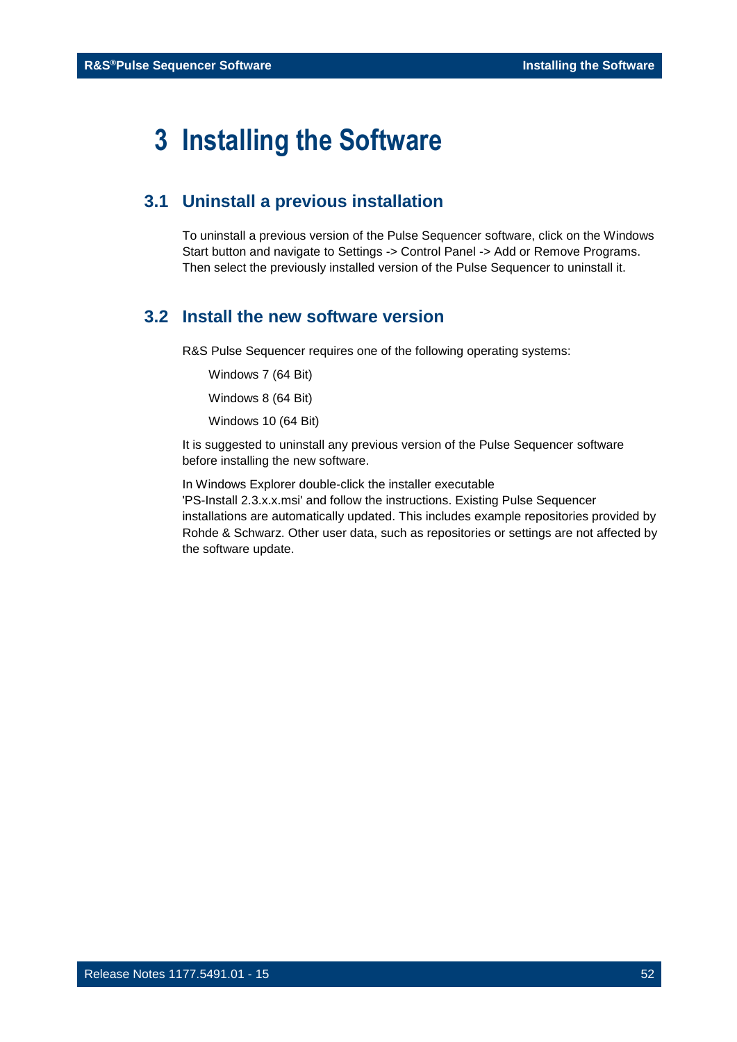## <span id="page-51-0"></span>**3 Installing the Software**

### <span id="page-51-1"></span>**3.1 Uninstall a previous installation**

To uninstall a previous version of the Pulse Sequencer software, click on the Windows Start button and navigate to Settings -> Control Panel -> Add or Remove Programs. Then select the previously installed version of the Pulse Sequencer to uninstall it.

### <span id="page-51-2"></span>**3.2 Install the new software version**

R&S Pulse Sequencer requires one of the following operating systems:

Windows 7 (64 Bit)

Windows 8 (64 Bit)

Windows 10 (64 Bit)

It is suggested to uninstall any previous version of the Pulse Sequencer software before installing the new software.

In Windows Explorer double-click the installer executable 'PS-Install 2.3.x.x.msi' and follow the instructions. Existing Pulse Sequencer installations are automatically updated. This includes example repositories provided by Rohde & Schwarz. Other user data, such as repositories or settings are not affected by the software update.